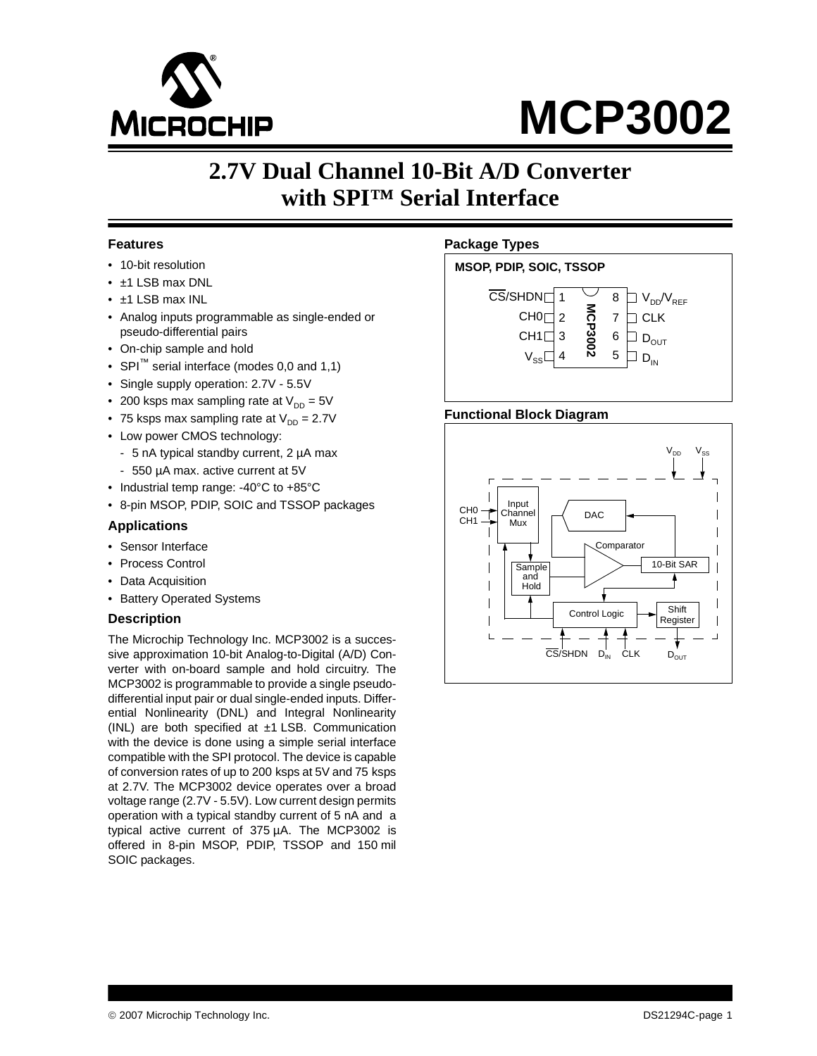

# **MCP3002**

# **2.7V Dual Channel 10-Bit A/D Converter with SPI™ Serial Interface**

#### **Features**

- 10-bit resolution
- ±1 LSB max DNL
- $\cdot$   $\pm$ 1 LSB max INL
- Analog inputs programmable as single-ended or pseudo-differential pairs
- On-chip sample and hold
- SPI $^{\text{m}}$  serial interface (modes 0,0 and 1,1)
- Single supply operation: 2.7V 5.5V
- 200 ksps max sampling rate at  $V_{DD} = 5V$
- 75 ksps max sampling rate at  $V_{DD} = 2.7V$
- Low power CMOS technology:
	- 5 nA typical standby current, 2 µA max
	- 550 µA max. active current at 5V
- Industrial temp range: -40°C to +85°C
- 8-pin MSOP, PDIP, SOIC and TSSOP packages

#### **Applications**

- Sensor Interface
- Process Control
- Data Acquisition
- Battery Operated Systems

#### **Description**

The Microchip Technology Inc. MCP3002 is a successive approximation 10-bit Analog-to-Digital (A/D) Converter with on-board sample and hold circuitry. The MCP3002 is programmable to provide a single pseudodifferential input pair or dual single-ended inputs. Differential Nonlinearity (DNL) and Integral Nonlinearity (INL) are both specified at ±1 LSB. Communication with the device is done using a simple serial interface compatible with the SPI protocol. The device is capable of conversion rates of up to 200 ksps at 5V and 75 ksps at 2.7V. The MCP3002 device operates over a broad voltage range (2.7V - 5.5V). Low current design permits operation with a typical standby current of 5 nA and a typical active current of 375 µA. The MCP3002 is offered in 8-pin MSOP, PDIP, TSSOP and 150 mil SOIC packages.

#### **Package Types**

#### **MSOP, PDIP, SOIC, TSSOP**



#### **Functional Block Diagram**

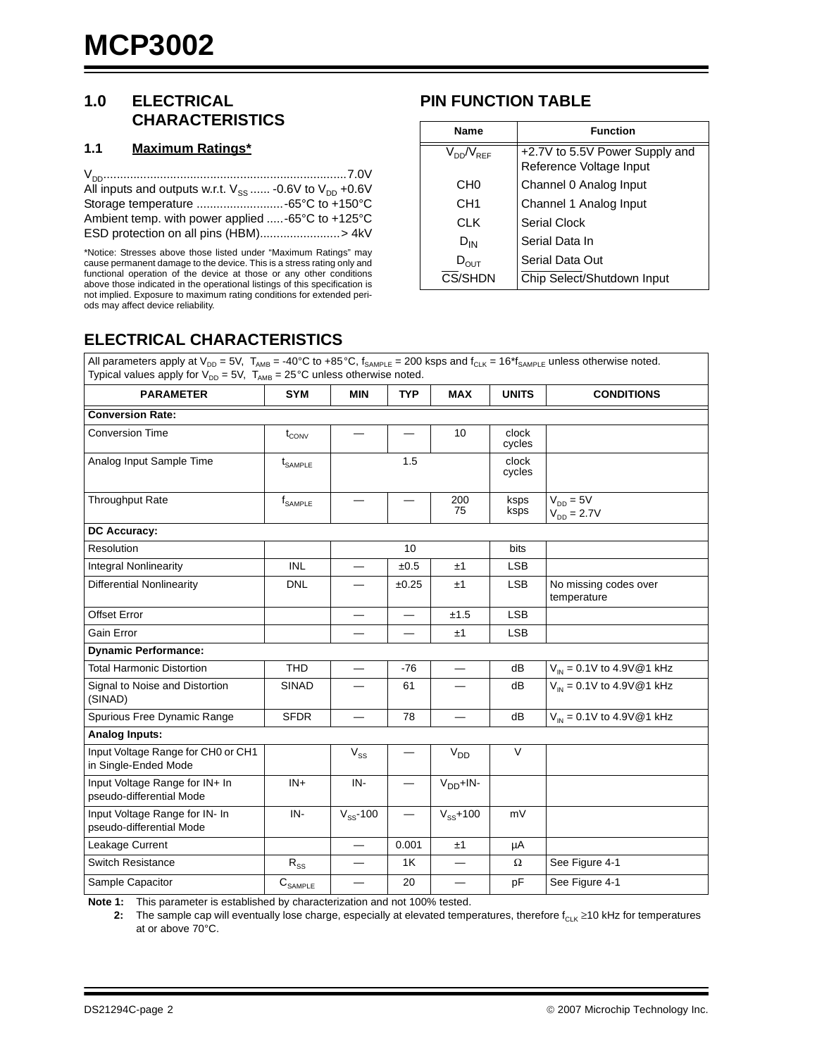#### **1.0 ELECTRICAL CHARACTERISTICS**

#### **1.1 Maximum Ratings\***

| All inputs and outputs w.r.t. $V_{SS}$ -0.6V to $V_{DD}$ +0.6V |  |
|----------------------------------------------------------------|--|
|                                                                |  |
| Ambient temp. with power applied -65°C to +125°C               |  |
| ESD protection on all pins (HBM)> 4kV                          |  |

\*Notice: Stresses above those listed under "Maximum Ratings" may cause permanent damage to the device. This is a stress rating only and functional operation of the device at those or any other conditions above those indicated in the operational listings of this specification is not implied. Exposure to maximum rating conditions for extended periods may affect device reliability.

#### **PIN FUNCTION TABLE**

| <b>Name</b>      | <b>Function</b>                                           |
|------------------|-----------------------------------------------------------|
| $V_{DD}/V_{REF}$ | +2.7V to 5.5V Power Supply and<br>Reference Voltage Input |
| CH <sub>0</sub>  | Channel 0 Analog Input                                    |
| CH <sub>1</sub>  | Channel 1 Analog Input                                    |
| <b>CLK</b>       | <b>Serial Clock</b>                                       |
| $D_{IN}$         | Serial Data In                                            |
| $D_{\text{OUT}}$ | Serial Data Out                                           |
| CS/SHDN          | Chip Select/Shutdown Input                                |

### **ELECTRICAL CHARACTERISTICS**

All parameters apply at  $V_{DD} = 5V$ ,  $T_{AMB} = -40^{\circ}C$  to  $+85^{\circ}C$ ,  $f_{SAMPLE} = 200$  ksps and  $f_{CLK} = 16^{*}f_{SAMPLE}$  unless otherwise noted. Typical values apply for  $V_{DD} = 5V$ ,  $T_{AMB} = 25^{\circ}$ C unless otherwise noted.

| <b>PARAMETER</b>                                           | <b>SYM</b>                                | <b>MIN</b>               | <b>TYP</b>               | <b>MAX</b>               | <b>UNITS</b>    | <b>CONDITIONS</b>                    |
|------------------------------------------------------------|-------------------------------------------|--------------------------|--------------------------|--------------------------|-----------------|--------------------------------------|
| <b>Conversion Rate:</b>                                    |                                           |                          |                          |                          |                 |                                      |
| <b>Conversion Time</b>                                     | $t_{\text{CONV}}$                         |                          |                          | 10                       | clock<br>cycles |                                      |
| Analog Input Sample Time                                   | $t_{\text{SAMPL}}$                        |                          | 1.5                      |                          | clock<br>cycles |                                      |
| <b>Throughput Rate</b>                                     | $\boldsymbol{\mathsf{f}}_\textsf{SAMPLE}$ |                          |                          | 200<br>75                | ksps<br>ksps    | $V_{DD} = 5V$<br>$V_{DD} = 2.7V$     |
| DC Accuracy:                                               |                                           |                          |                          |                          |                 |                                      |
| Resolution                                                 |                                           |                          | 10                       |                          | <b>bits</b>     |                                      |
| <b>Integral Nonlinearity</b>                               | <b>INL</b>                                |                          | ±0.5                     | ±1                       | <b>LSB</b>      |                                      |
| <b>Differential Nonlinearity</b>                           | <b>DNL</b>                                |                          | ±0.25                    | ±1                       | <b>LSB</b>      | No missing codes over<br>temperature |
| <b>Offset Error</b>                                        |                                           |                          | $\overline{\phantom{m}}$ | ±1.5                     | <b>LSB</b>      |                                      |
| <b>Gain Error</b>                                          |                                           |                          |                          | ±1                       | <b>LSB</b>      |                                      |
| <b>Dynamic Performance:</b>                                |                                           |                          |                          |                          |                 |                                      |
| <b>Total Harmonic Distortion</b>                           | <b>THD</b>                                | $\overline{\phantom{0}}$ | $-76$                    | $\overline{\phantom{0}}$ | dB              | $V_{IN} = 0.1V$ to 4.9V@1 kHz        |
| Signal to Noise and Distortion<br>(SINAD)                  | <b>SINAD</b>                              |                          | 61                       |                          | dB              | $V_{IN} = 0.1V$ to 4.9V@1 kHz        |
| Spurious Free Dynamic Range                                | <b>SFDR</b>                               |                          | 78                       |                          | dB              | $V_{IN} = 0.1V$ to 4.9V@1 kHz        |
| <b>Analog Inputs:</b>                                      |                                           |                          |                          |                          |                 |                                      |
| Input Voltage Range for CH0 or CH1<br>in Single-Ended Mode |                                           | $V_{SS}$                 |                          | V <sub>DD</sub>          | $\vee$          |                                      |
| Input Voltage Range for IN+ In<br>pseudo-differential Mode | $IN +$                                    | IN-                      |                          | $VDD+IN-$                |                 |                                      |
| Input Voltage Range for IN- In<br>pseudo-differential Mode | IN-                                       | $V_{SS}$ -100            |                          | $V_{SS}$ +100            | mV              |                                      |
| Leakage Current                                            |                                           |                          | 0.001                    | ±1                       | μA              |                                      |
| <b>Switch Resistance</b>                                   | $\mathsf{R}_{\text{SS}}$                  |                          | 1K                       |                          | Ω               | See Figure 4-1                       |
| Sample Capacitor                                           | $\mathbf{C}_{\texttt{SAMPLE}}$            |                          | 20                       |                          | pF              | See Figure 4-1                       |

<span id="page-1-1"></span><span id="page-1-0"></span>**Note 1:** This parameter is established by characterization and not 100% tested.

**2:** The sample cap will eventually lose charge, especially at elevated temperatures, therefore f<sub>CLK</sub> ≥10 kHz for temperatures at or above 70°C.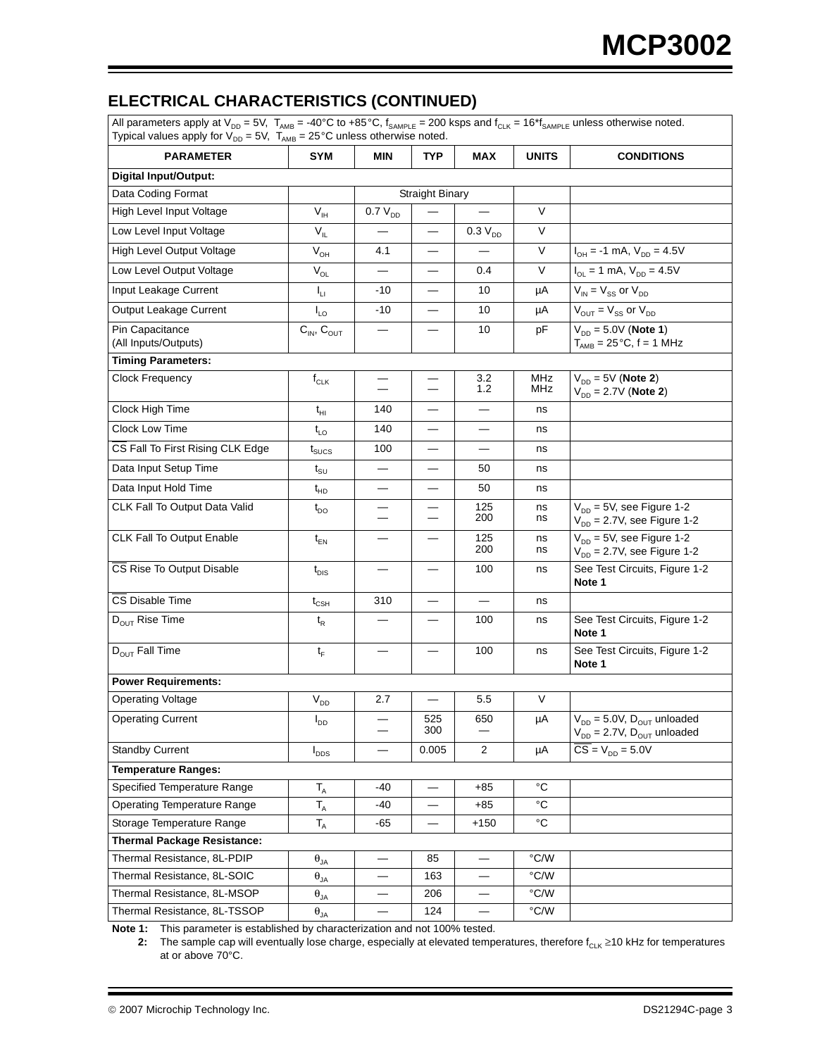#### **ELECTRICAL CHARACTERISTICS (CONTINUED)**

**Digital Input/Output:** Data Coding Format New York Coding Format New York Straight Binary High Level Input Voltage  $V_{\text{H}}$   $V_{\text{H}}$   $0.7 V_{\text{DD}}$   $V$ Low Level Input Voltage  $V_{\parallel}$   $V_{\parallel}$   $0.3 V_{\text{DD}}$  V High Level Output Voltage  $V_{\text{OH}}$  | 4.1 |  $-$  |  $-$  | V |  $I_{\text{OH}}$  = -1 mA, V<sub>DD</sub> = 4.5V Low Level Output Voltage  $V_{\text{OL}}$  |  $\rightarrow$  |  $\rightarrow$  0.4 | V | $I_{\text{OL}}$  = 1 mA, V<sub>DD</sub> = 4.5V Input Leakage Current  $I_{\text{L}}$   $I_{\text{L}}$  -10  $-$  10  $\mu$ A  $V_{\text{IN}} = V_{\text{SS}}$  or  $V_{\text{DD}}$ Output Leakage Current  $I_{\text{LO}}$   $-10$   $-1$  10  $\mu$ A  $V_{\text{OUT}} = V_{SS}$  or  $V_{\text{DD}}$ Pin Capacitance (All Inputs/Outputs)  $C_{IN}$ ,  $C_{OUT}$  | - | - | 10 | pF  $V_{DD} = 5.0V$  ([Note 1](#page-1-0))  $T<sub>AMB</sub> = 25$ °C, f = 1 MHz **Timing Parameters:** Clock Frequency  $f_{CLK}$ — — — 3.2 1.2 MHz MHz  $V_{DD} = 5V$  (**[Note 2](#page-1-1)**)  $V_{DD} = 2.7V$  (**[Note 2](#page-1-1)**) Clock High Time  $t_{\rm HI}$  | 140  $-$  |  $-$  | ns Clock Low Time  $t_{\text{LO}}$  |  $t_{\text{LO}}$  | 140  $-$  |  $-$  | ns  $\overline{\text{CS}}$  Fall To First Rising CLK Edge  $\begin{array}{|c|c|c|c|c|}\n\hline\n\text{LS} & \text{Fall}} & \text{To First Rising CLK Edge} & \text{ts} & \text{ts} \\
\hline\n\end{array}$ Data Input Setup Time tSU — — 50 ns Data Input Hold Time  $t_{HD}$   $t_{HD}$   $-$  50  $\quad$  ns CLK Fall To Output Data Valid  $t_{\text{DO}}$  $\overline{ }$ — — 125 200 ns ns  $V_{DD} = 5V$ , see [Figure 1-2](#page-3-0)  $V_{DD} = 2.7V$ , see [Figure 1-2](#page-3-0) CLK Fall To Output Enable  $t_{EN}$   $|$   $|$   $-$  125 200 ns ns  $V_{DD} = 5V$ , see [Figure 1-2](#page-3-0)  $V_{DD} = 2.7V$ , see [Figure 1-2](#page-3-0)  $\overline{\text{CS}}$  Rise To Output Disable  $t_{\text{DIS}}$   $-$  100 ns See Test Circuits, [Figure 1-2](#page-3-0) **[Note 1](#page-1-0)** CS Disable Time tCSH 310 — — ns  $D_{\text{OUT}}$  Rise Time  $t_R$   $+$  100 ns See Test Circuits, [Figure 1-2](#page-3-0) **[Note 1](#page-1-0)** DOUT Fall Time tF — — 100 ns See Test Circuits, [Figure 1-2](#page-3-0) **[Note 1](#page-1-0) Power Requirements:** Operating Voltage  $V_{DD}$  | 2.7 |  $-$  | 5.5 | V Operating Current **IDD** — I<sub>DD</sub> — 525 300 650 —  $\mu$ A  $V_{DD} = 5.0V, D_{OUT}$  unloaded  $V_{DD} = 2.7V$ ,  $D_{OUT}$  unloaded Standby Current IDDS — 0.005 2 µA CS = VDD = 5.0V **Temperature Ranges:** Specified Temperature Range  $\begin{array}{|c|c|c|c|c|c|}\n\hline\nI_A & -40 & - & +85 & \heartsuit\end{array}$ Operating Temperature Range  $\begin{vmatrix} T_A & | & -40 & | & -145 \end{vmatrix}$  +85  $\begin{vmatrix} \infty \\ \infty \end{vmatrix}$ Storage Temperature Range  $\begin{array}{|c|c|c|c|c|c|}\hline \text{S} & \text{I} & - & +150 & \text{°C} \ \hline \end{array}$ **Thermal Package Resistance:** Thermal Resistance, 8L-PDIP θJA — 85 — °C/W Thermal Resistance, 8L-SOIC  $\begin{vmatrix} \theta_{1A} & \end{vmatrix}$  – 163  $\begin{vmatrix} \end{vmatrix}$  –  $\begin{vmatrix} \end{vmatrix}$  °C/W Thermal Resistance, 8L-MSOP  $\begin{array}{|c|c|c|c|c|c|c|c|} \hline \end{array}$   $\begin{array}{|c|c|c|c|c|c|c|c|} \hline \end{array}$   $\begin{array}{|c|c|c|c|c|c|c|c|} \hline \end{array}$   $\begin{array}{|c|c|c|c|c|c|} \hline \end{array}$   $\begin{array}{|c|c|c|c|c|} \hline \end{array}$   $\begin{array}{|c|c|c|c|c|} \hline \end{array}$   $\begin{array$ Thermal Resistance, 8L-TSSOP  $\begin{vmatrix} \theta_{1A} & \end{vmatrix}$  - 124 -  $\begin{vmatrix} 1 & -1 \end{vmatrix}$  °C/W All parameters apply at  $V_{DD} = 5V$ ,  $T_{AMB} = -40^{\circ}C$  to +85°C,  $f_{SAMPLE} = 200$  ksps and  $f_{CLK} = 16^{*}f_{SAMPLE}$  unless otherwise noted. Typical values apply for  $V_{DD} = 5V$ ,  $T_{AMB} = 25^{\circ}C$  unless otherwise noted. PARAMETER SYM MIN TYP MAX UNITS CONDITIONS

**Note 1:** This parameter is established by characterization and not 100% tested.

**2:** The sample cap will eventually lose charge, especially at elevated temperatures, therefore  $f_{CLK} \ge 10$  kHz for temperatures at or above 70°C.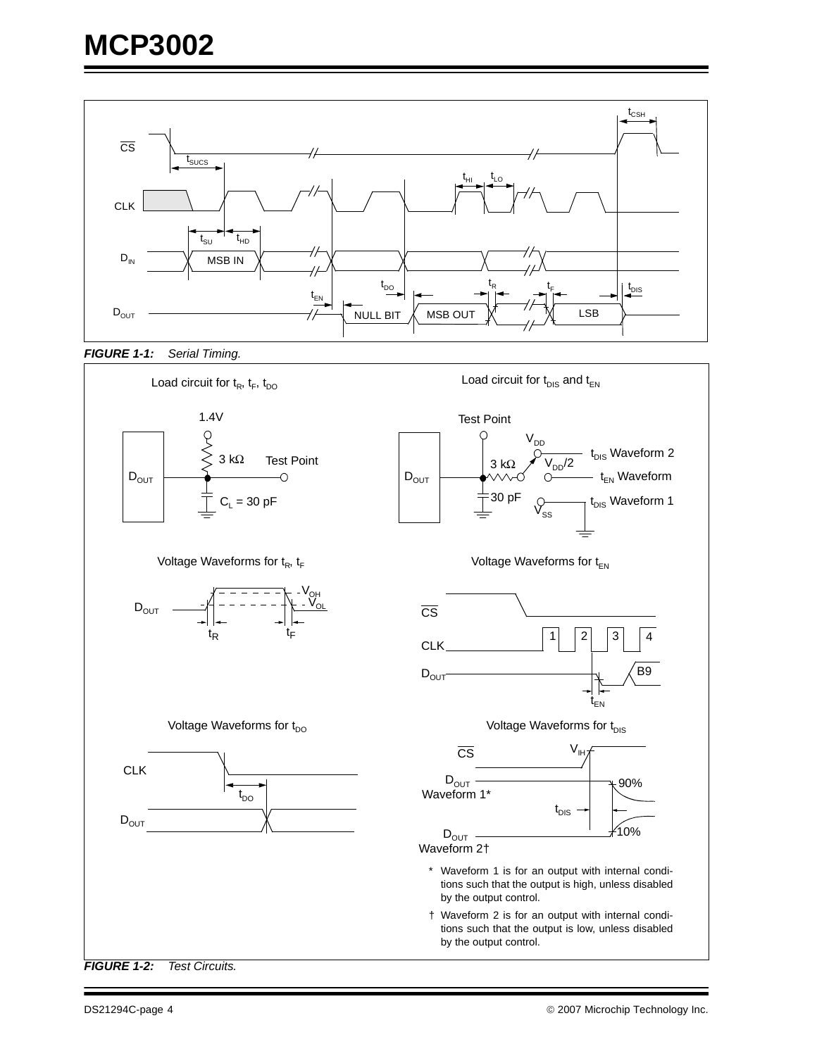





<span id="page-3-0"></span>*FIGURE 1-2: Test Circuits.*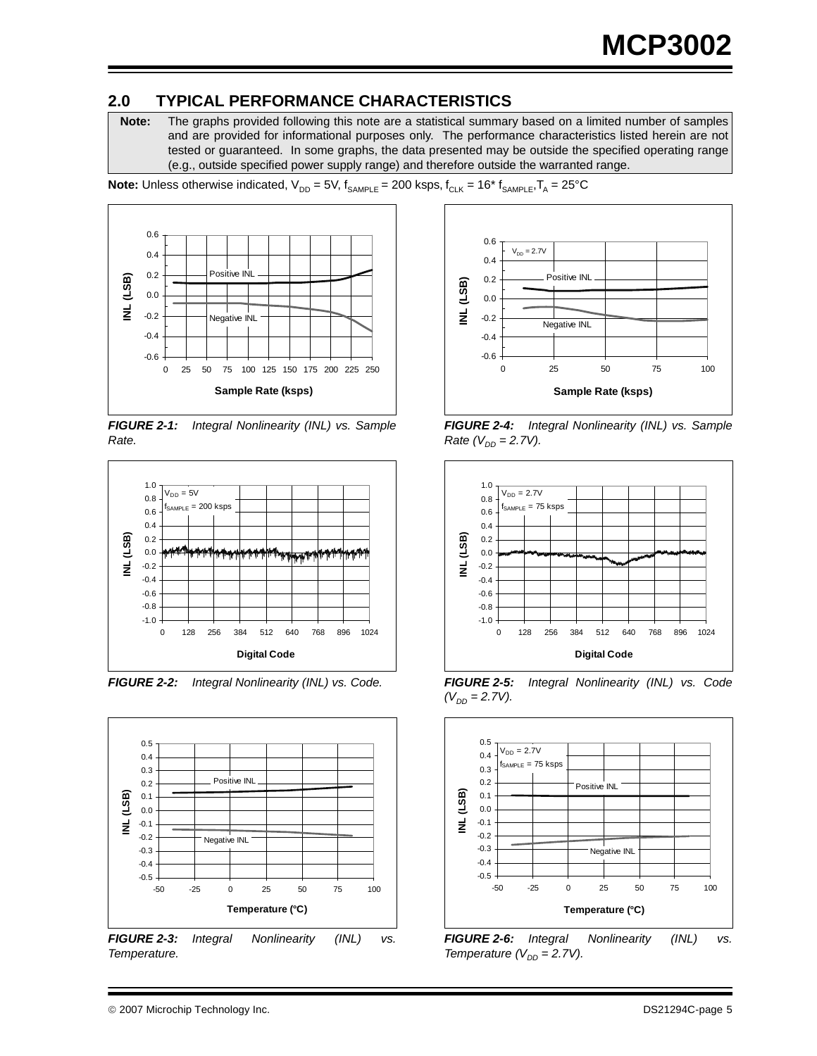#### **2.0 TYPICAL PERFORMANCE CHARACTERISTICS**

**Note:** The graphs provided following this note are a statistical summary based on a limited number of samples and are provided for informational purposes only. The performance characteristics listed herein are not tested or guaranteed. In some graphs, the data presented may be outside the specified operating range (e.g., outside specified power supply range) and therefore outside the warranted range.

**Note:** Unless otherwise indicated,  $V_{DD} = 5V$ ,  $f_{SAMPLE} = 200$  ksps,  $f_{CLK} = 16 * f_{SAMPLE}$ ,  $T_A = 25°C$ 



*FIGURE 2-1: Integral Nonlinearity (INL) vs. Sample Rate.*



*FIGURE 2-2: Integral Nonlinearity (INL) vs. Code.*



*FIGURE 2-3: Integral Nonlinearity (INL) vs. Temperature.*



*FIGURE 2-4: Integral Nonlinearity (INL) vs. Sample Rate*  $(V_{DD} = 2.7V)$ .



*FIGURE 2-5: Integral Nonlinearity (INL) vs. Code*  $(V_{DD} = 2.7V)$ .



*FIGURE 2-6: Integral Nonlinearity (INL) vs. Temperature (* $V_{DD} = 2.7V$ *).*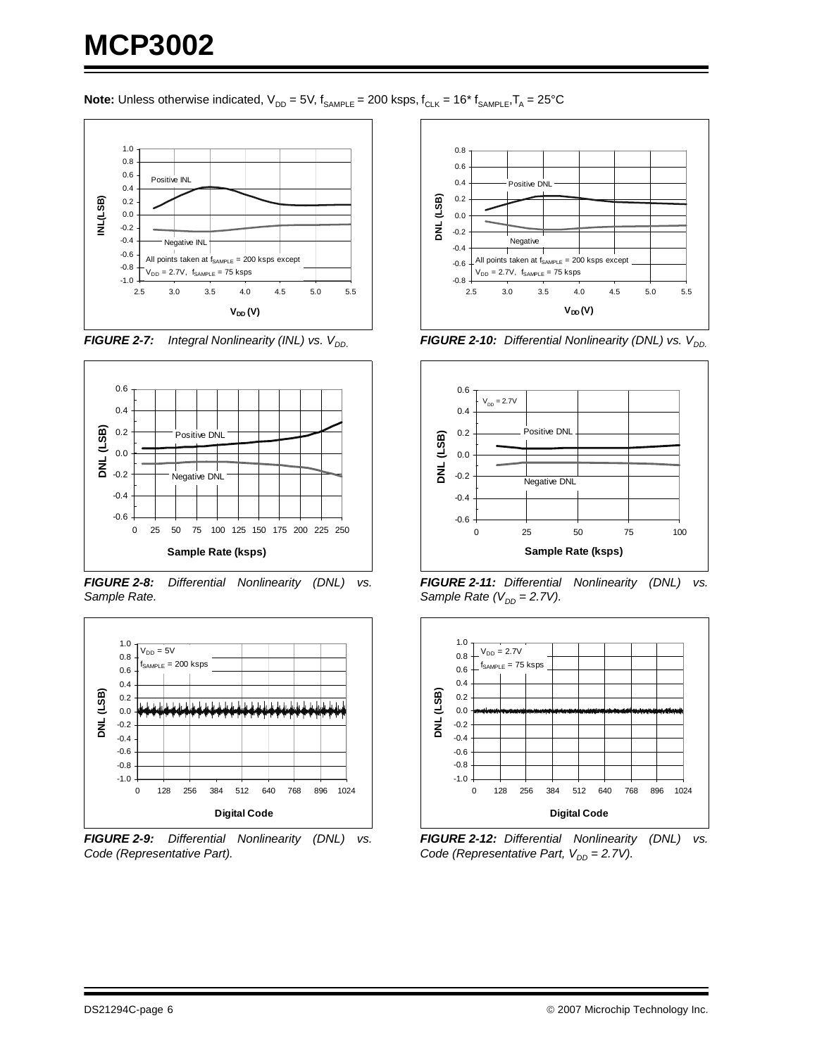# **MCP3002**

**Note:** Unless otherwise indicated,  $V_{DD} = 5V$ ,  $f_{SAMPLE} = 200$  ksps,  $f_{CLK} = 16$ <sup>\*</sup>  $f_{SAMPLE}$ ,  $T_A = 25$ °C







*FIGURE 2-8: Differential Nonlinearity (DNL) vs. Sample Rate.*



*FIGURE 2-9: Differential Nonlinearity (DNL) vs. Code (Representative Part).*



**FIGURE 2-10:** Differential Nonlinearity (DNL) vs. V<sub>DD.</sub>



*FIGURE 2-11: Differential Nonlinearity (DNL) vs. Sample Rate (* $V_{DD} = 2.7V$ *).* 



*FIGURE 2-12: Differential Nonlinearity (DNL) vs. Code (Representative Part, V<sub>DD</sub> = 2.7V).*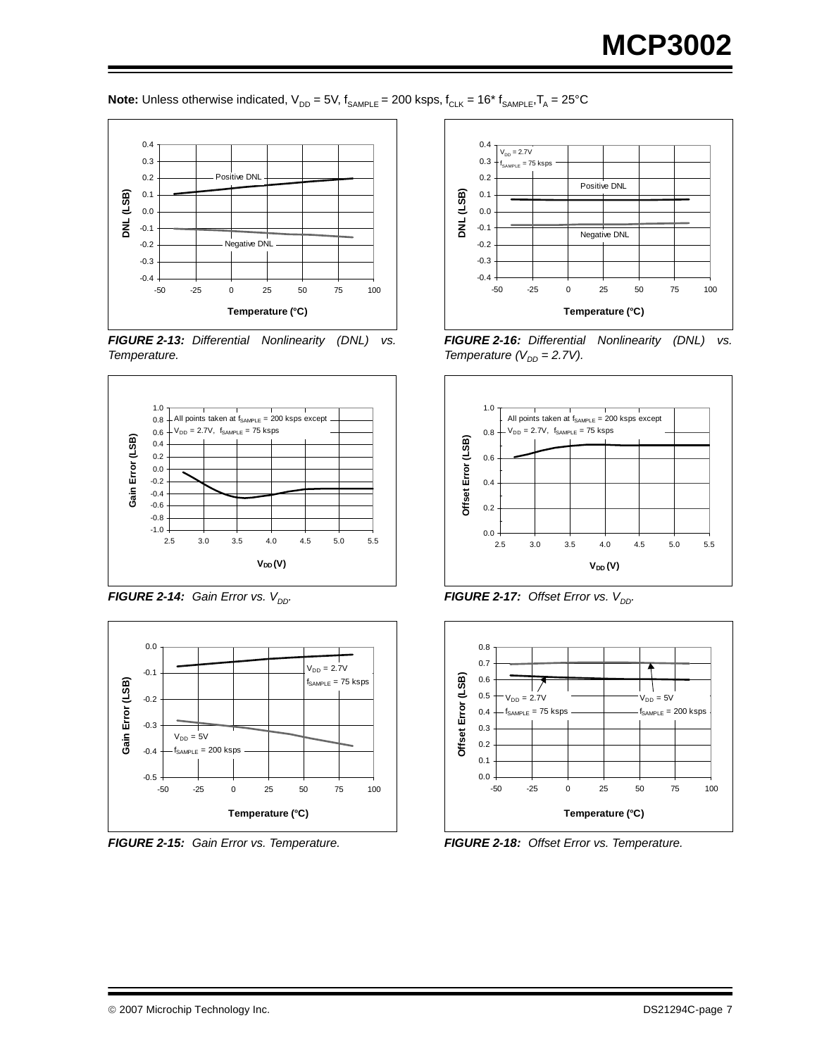**Note:** Unless otherwise indicated,  $V_{DD} = 5V$ ,  $f_{SAMPLE} = 200$  ksps,  $f_{CLK} = 16*$   $f_{SAMPLE}$ ,  $T_A = 25°C$ 



*FIGURE 2-13: Differential Nonlinearity (DNL) vs. Temperature.*



*FIGURE 2-14: Gain Error vs.*  $V_{DD}$ .



*FIGURE 2-15: Gain Error vs. Temperature.*



*FIGURE 2-16: Differential Nonlinearity (DNL) vs. Temperature (* $V_{DD} = 2.7V$ *).* 



*FIGURE 2-17: Offset Error vs. V<sub>DD</sub>.* 



*FIGURE 2-18: Offset Error vs. Temperature.*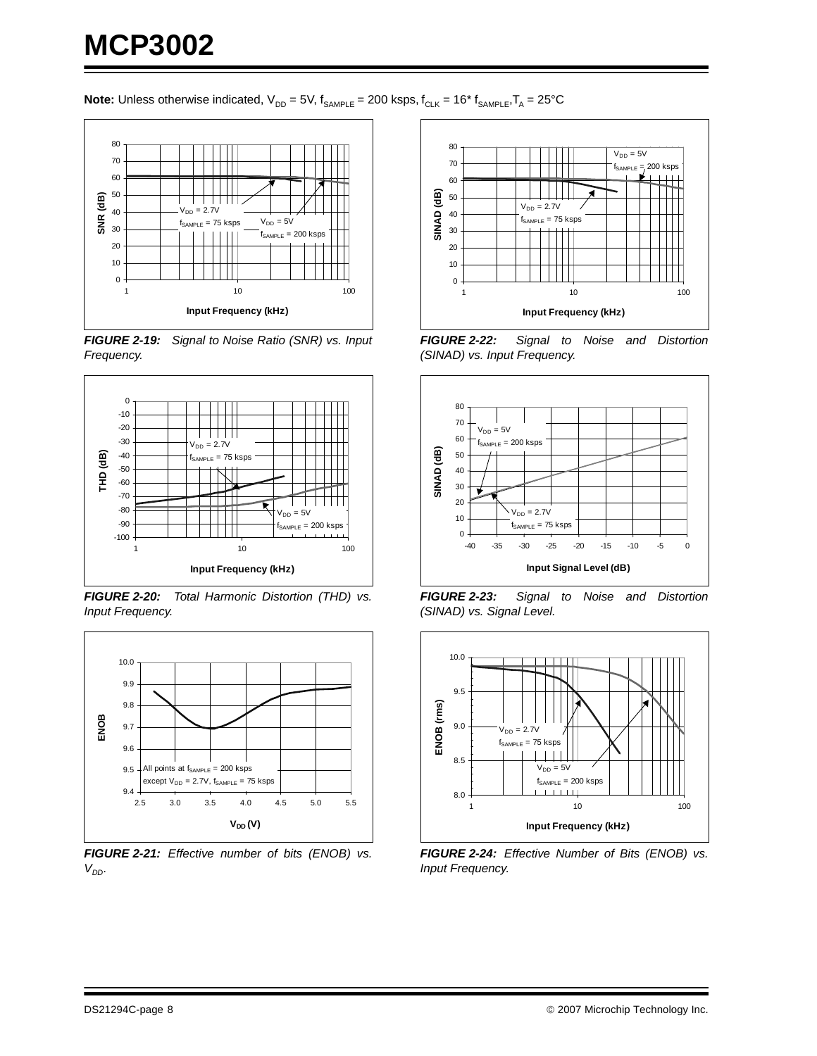**Note:** Unless otherwise indicated,  $V_{DD} = 5V$ ,  $f_{SAMPLE} = 200$  ksps,  $f_{CLK} = 16$ <sup>\*</sup>  $f_{SAMPLE}$ ,  $T_A = 25$ °C



*FIGURE 2-19: Signal to Noise Ratio (SNR) vs. Input Frequency.*



*FIGURE 2-20: Total Harmonic Distortion (THD) vs. Input Frequency.*



*FIGURE 2-21: Effective number of bits (ENOB) vs.*  $V_{DD}$ .



*FIGURE 2-22: Signal to Noise and Distortion (SINAD) vs. Input Frequency.*



*FIGURE 2-23: Signal to Noise and Distortion (SINAD) vs. Signal Level.*



*FIGURE 2-24: Effective Number of Bits (ENOB) vs. Input Frequency.*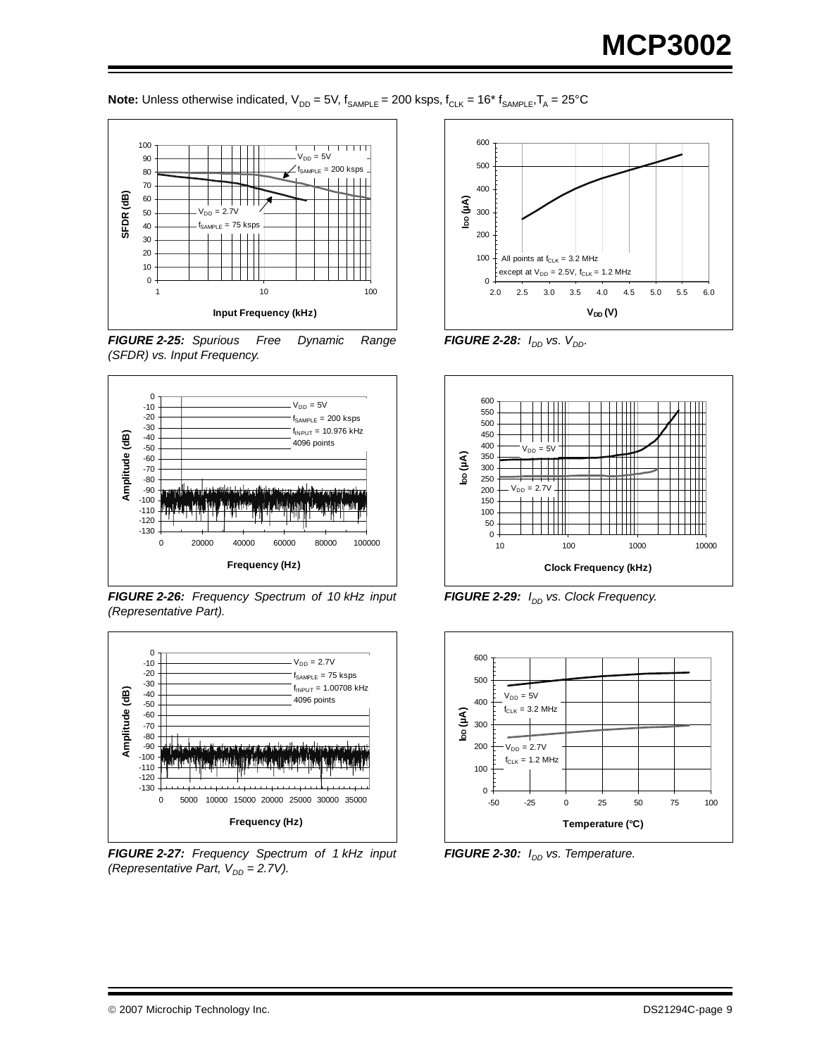**Note:** Unless otherwise indicated,  $V_{DD} = 5V$ ,  $f_{SAMPLE} = 200$  ksps,  $f_{CLK} = 16$ <sup>\*</sup>  $f_{SAMPLE}$ ,  $T_A = 25$ °C



*FIGURE 2-25: Spurious Free Dynamic Range (SFDR) vs. Input Frequency.*



*FIGURE 2-26: Frequency Spectrum of 10 kHz input (Representative Part).*



*FIGURE 2-27: Frequency Spectrum of 1 kHz input (Representative Part,*  $V_{DD} = 2.7V$ *).* 



*FIGURE 2-28:*  $I_{DD}$  vs.  $V_{DD}$ .



*FIGURE 2-29:*  $I_{DD}$  vs. Clock Frequency.



*FIGURE 2-30:*  $I_{DD}$  vs. Temperature.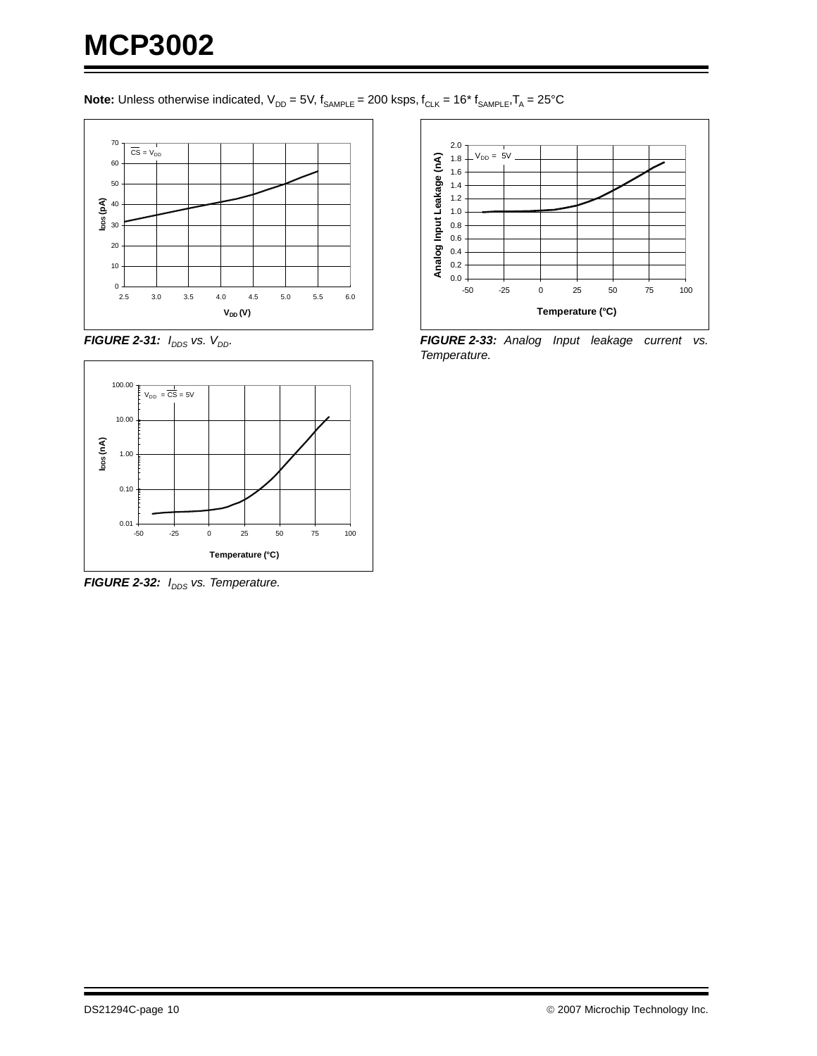**Note:** Unless otherwise indicated,  $V_{DD} = 5V$ ,  $f_{SAMPLE} = 200$  ksps,  $f_{CLK} = 16 * f_{SAMPLE}$ ,  $T_A = 25°C$ 







*FIGURE 2-32: I<sub>DDS</sub>* vs. Temperature.



*FIGURE 2-33: Analog Input leakage current vs. Temperature.*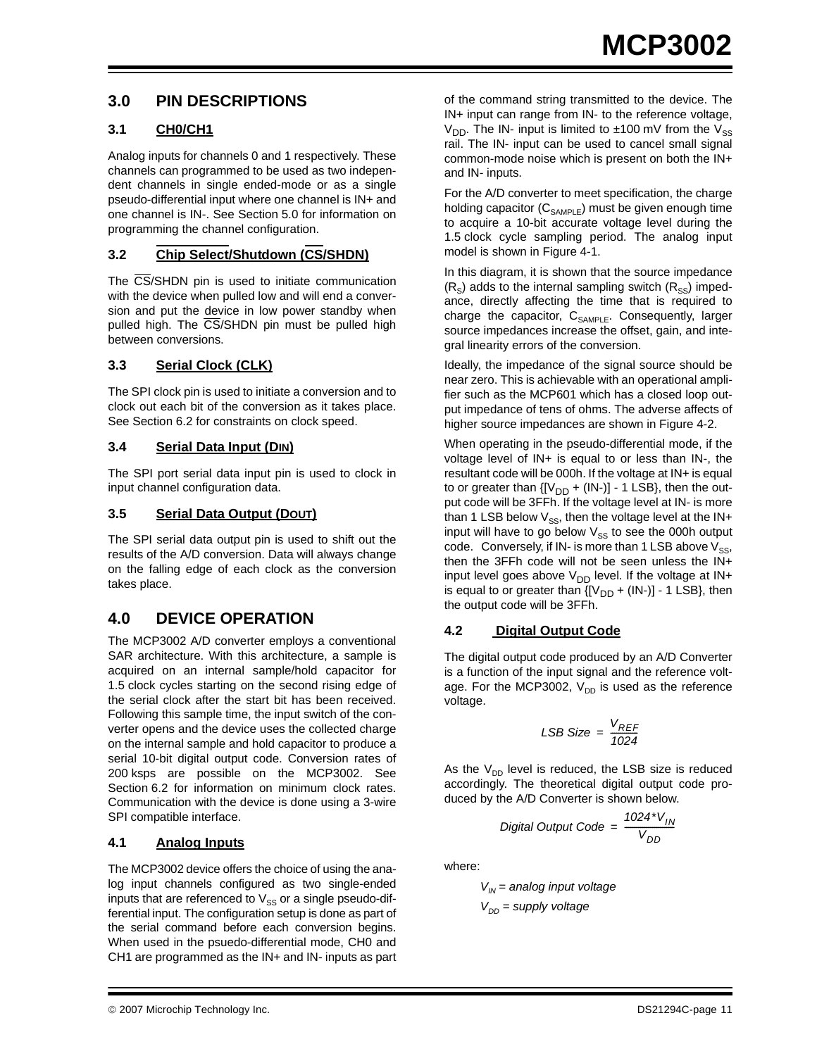#### **3.0 PIN DESCRIPTIONS**

#### **3.1 CH0/CH1**

Analog inputs for channels 0 and 1 respectively. These channels can programmed to be used as two independent channels in single ended-mode or as a single pseudo-differential input where one channel is IN+ and one channel is IN-. See [Section 5.0](#page-12-0) for information on programming the channel configuration.

#### **3.2 Chip Select/Shutdown (CS/SHDN)**

The CS/SHDN pin is used to initiate communication with the device when pulled low and will end a conversion and put the device in low power standby when pulled high. The CS/SHDN pin must be pulled high between conversions.

#### **3.3 Serial Clock (CLK)**

The SPI clock pin is used to initiate a conversion and to clock out each bit of the conversion as it takes place. See [Section 6.2](#page-15-0) for constraints on clock speed.

#### **3.4 Serial Data Input (DIN)**

The SPI port serial data input pin is used to clock in input channel configuration data.

#### **3.5 Serial Data Output (DOUT)**

The SPI serial data output pin is used to shift out the results of the A/D conversion. Data will always change on the falling edge of each clock as the conversion takes place.

#### **4.0 DEVICE OPERATION**

The MCP3002 A/D converter employs a conventional SAR architecture. With this architecture, a sample is acquired on an internal sample/hold capacitor for 1.5 clock cycles starting on the second rising edge of the serial clock after the start bit has been received. Following this sample time, the input switch of the converter opens and the device uses the collected charge on the internal sample and hold capacitor to produce a serial 10-bit digital output code. Conversion rates of 200 ksps are possible on the MCP3002. See [Section 6.2](#page-15-0) for information on minimum clock rates. Communication with the device is done using a 3-wire SPI compatible interface.

#### **4.1 Analog Inputs**

The MCP3002 device offers the choice of using the analog input channels configured as two single-ended inputs that are referenced to  $V_{SS}$  or a single pseudo-differential input. The configuration setup is done as part of the serial command before each conversion begins. When used in the psuedo-differential mode, CH0 and CH1 are programmed as the IN+ and IN- inputs as part of the command string transmitted to the device. The IN+ input can range from IN- to the reference voltage,  $V_{DD}$ . The IN- input is limited to  $\pm 100$  mV from the  $V_{SS}$ rail. The IN- input can be used to cancel small signal common-mode noise which is present on both the IN+ and IN- inputs.

For the A/D converter to meet specification, the charge holding capacitor  $(C_{SAMPLE})$  must be given enough time to acquire a 10-bit accurate voltage level during the 1.5 clock cycle sampling period. The analog input model is shown in [Figure 4-1.](#page-11-0)

In this diagram, it is shown that the source impedance  $(R<sub>s</sub>)$  adds to the internal sampling switch  $(R<sub>ss</sub>)$  impedance, directly affecting the time that is required to charge the capacitor,  $C_{SAMPL}$ . Consequently, larger source impedances increase the offset, gain, and integral linearity errors of the conversion.

Ideally, the impedance of the signal source should be near zero. This is achievable with an operational amplifier such as the MCP601 which has a closed loop output impedance of tens of ohms. The adverse affects of higher source impedances are shown in Figure 4-2.

When operating in the pseudo-differential mode, if the voltage level of IN+ is equal to or less than IN-, the resultant code will be 000h. If the voltage at IN+ is equal to or greater than  ${[V_{DD} + (IN-)]} - 1$  LSB}, then the output code will be 3FFh. If the voltage level at IN- is more than 1 LSB below  $V_{SS}$ , then the voltage level at the IN+ input will have to go below  $V_{SS}$  to see the 000h output code. Conversely, if IN- is more than 1 LSB above  $V_{SS}$ , then the 3FFh code will not be seen unless the IN+ input level goes above  $V_{DD}$  level. If the voltage at IN+ is equal to or greater than  $\{[V_{DD} + (IN-) ] - 1$  LSB}, then the output code will be 3FFh.

#### **4.2 Digital Output Code**

The digital output code produced by an A/D Converter is a function of the input signal and the reference voltage. For the MCP3002,  $V_{DD}$  is used as the reference voltage.

$$
LSB Size = \frac{V_{REF}}{1024}
$$

As the  $V_{DD}$  level is reduced, the LSB size is reduced accordingly. The theoretical digital output code produced by the A/D Converter is shown below.

$$
Digital Output Code = \frac{1024 \times V_{IN}}{V_{DD}}
$$

where:

*VIN = analog input voltage V*<sub>DD</sub> = supply voltage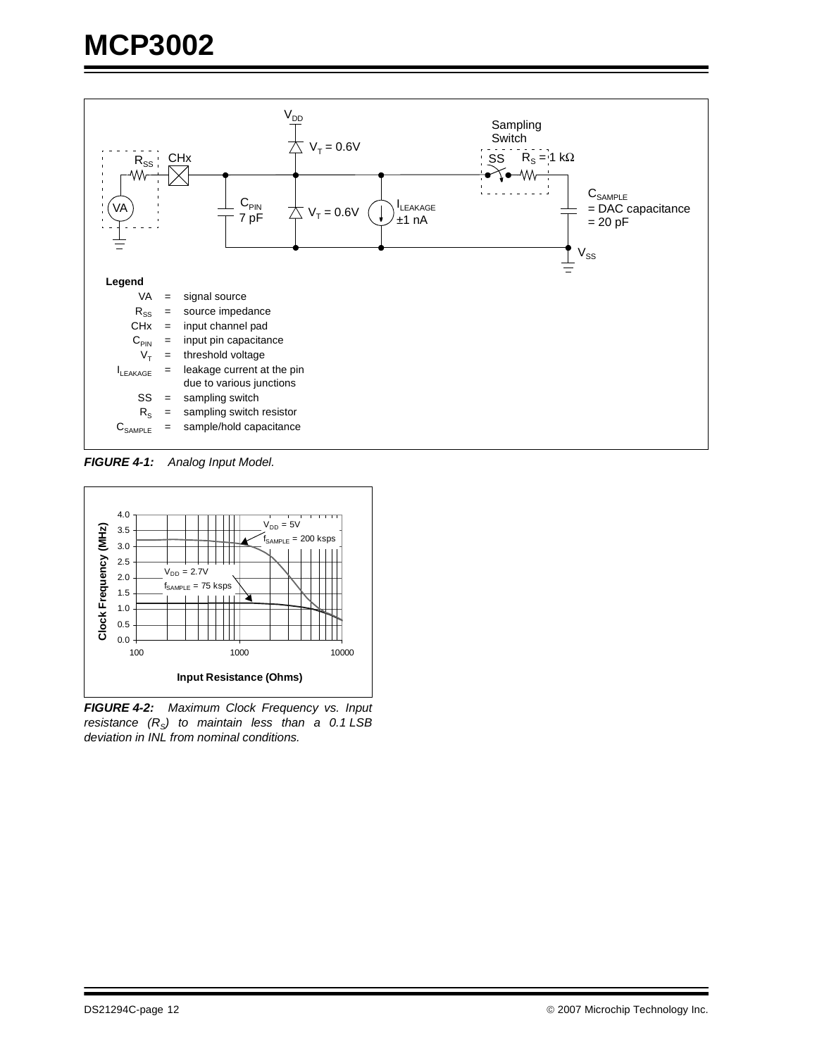

<span id="page-11-0"></span>*FIGURE 4-1: Analog Input Model.*



*FIGURE 4-2: Maximum Clock Frequency vs. Input resistance*  $(R_s)$  to maintain less than a 0.1 LSB *deviation in INL from nominal conditions.*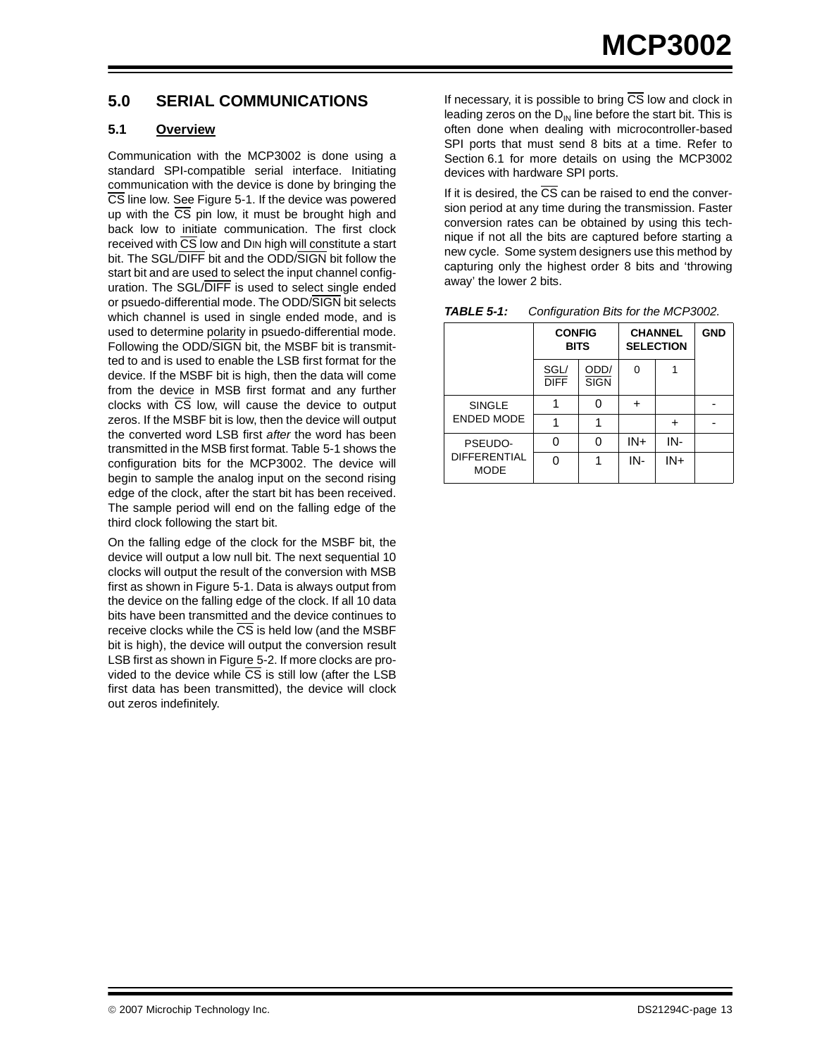#### <span id="page-12-0"></span>**5.0 SERIAL COMMUNICATIONS**

#### **5.1 Overview**

Communication with the MCP3002 is done using a standard SPI-compatible serial interface. Initiating communication with the device is done by bringing the CS line low. See [Figure 5-1](#page-13-0). If the device was powered up with the  $\overline{CS}$  pin low, it must be brought high and back low to initiate communication. The first clock received with  $\overline{\text{CS}}$  low and D<sub>IN</sub> high will constitute a start bit. The SGL/DIFF bit and the ODD/SIGN bit follow the start bit and are used to select the input channel configuration. The SGL/DIFF is used to select single ended or psuedo-differential mode. The ODD/SIGN bit selects which channel is used in single ended mode, and is used to determine polarity in psuedo-differential mode. Following the ODD/SIGN bit, the MSBF bit is transmitted to and is used to enable the LSB first format for the device. If the MSBF bit is high, then the data will come from the device in MSB first format and any further clocks with  $\overline{CS}$  low, will cause the device to output zeros. If the MSBF bit is low, then the device will output the converted word LSB first *after* the word has been transmitted in the MSB first format. [Table 5-1](#page-12-1) shows the configuration bits for the MCP3002. The device will begin to sample the analog input on the second rising edge of the clock, after the start bit has been received. The sample period will end on the falling edge of the third clock following the start bit.

On the falling edge of the clock for the MSBF bit, the device will output a low null bit. The next sequential 10 clocks will output the result of the conversion with MSB first as shown in [Figure 5-1.](#page-13-0) Data is always output from the device on the falling edge of the clock. If all 10 data bits have been transmitted and the device continues to receive clocks while the CS is held low (and the MSBF bit is high), the device will output the conversion result LSB first as shown in [Figure 5-2](#page-13-1). If more clocks are provided to the device while CS is still low (after the LSB first data has been transmitted), the device will clock out zeros indefinitely.

If necessary, it is possible to bring  $\overline{CS}$  low and clock in leading zeros on the  $D_{\text{IN}}$  line before the start bit. This is often done when dealing with microcontroller-based SPI ports that must send 8 bits at a time. Refer to [Section 6.1](#page-14-0) for more details on using the MCP3002 devices with hardware SPI ports.

If it is desired, the  $\overline{\text{CS}}$  can be raised to end the conversion period at any time during the transmission. Faster conversion rates can be obtained by using this technique if not all the bits are captured before starting a new cycle. Some system designers use this method by capturing only the highest order 8 bits and 'throwing away' the lower 2 bits.

|                                    | <b>CONFIG</b>       | <b>BITS</b>         |     | <b>CHANNEL</b><br><b>SELECTION</b> | <b>GND</b> |
|------------------------------------|---------------------|---------------------|-----|------------------------------------|------------|
|                                    | SGL/<br><b>DIFF</b> | ODD/<br><b>SIGN</b> | 0   |                                    |            |
| <b>SINGLE</b>                      |                     | 0                   | ٠   |                                    |            |
| <b>ENDED MODE</b>                  |                     |                     |     | +                                  |            |
| PSEUDO-                            | ი                   | 0                   | IN+ | IN-                                |            |
| <b>DIFFERENTIAL</b><br><b>MODE</b> | O                   |                     | IN- | IN+                                |            |

<span id="page-12-1"></span>*TABLE 5-1: Configuration Bits for the MCP3002.*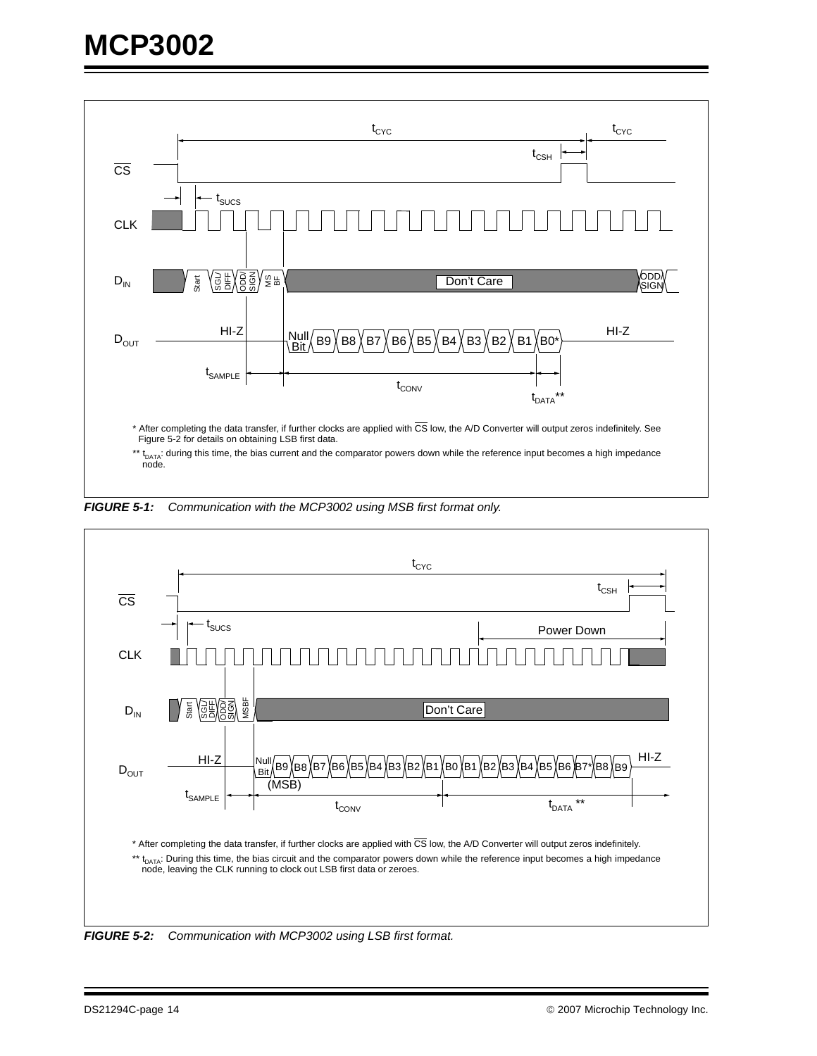

<span id="page-13-0"></span>*FIGURE 5-1: Communication with the MCP3002 using MSB first format only.*



<span id="page-13-1"></span>*FIGURE 5-2: Communication with MCP3002 using LSB first format.*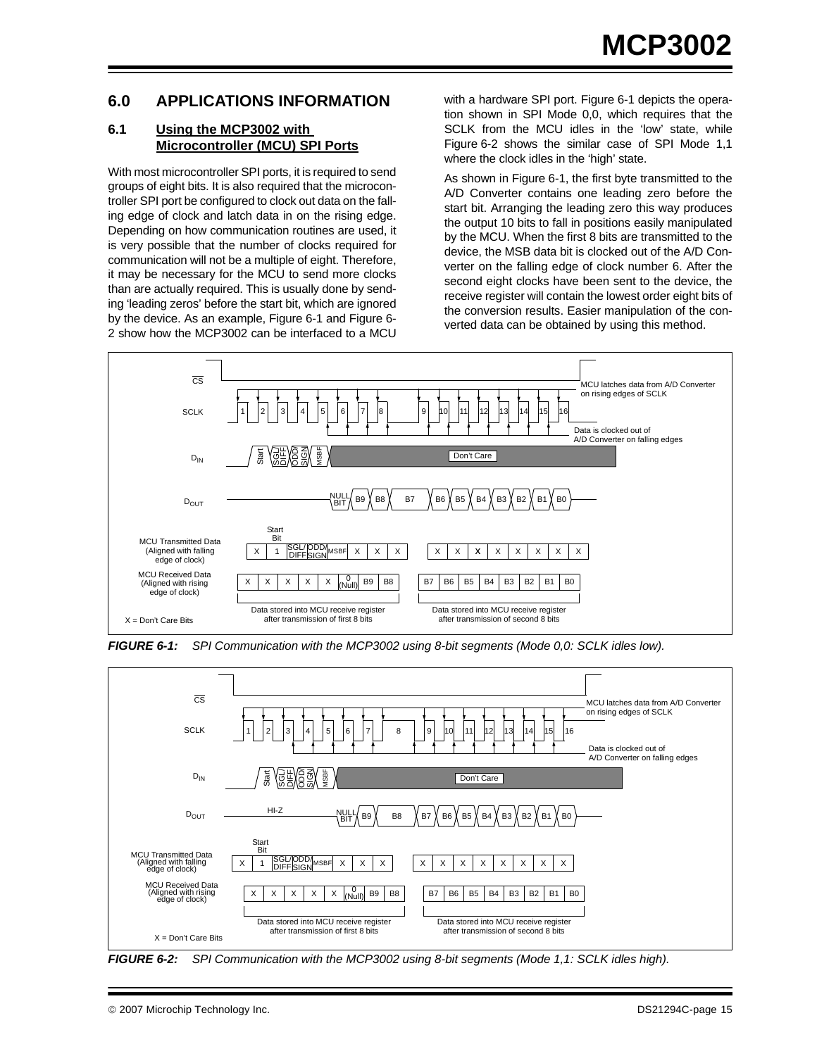#### **6.0 APPLICATIONS INFORMATION**

#### <span id="page-14-0"></span>**6.1 Using the MCP3002 with Microcontroller (MCU) SPI Ports**

With most microcontroller SPI ports, it is required to send groups of eight bits. It is also required that the microcontroller SPI port be configured to clock out data on the falling edge of clock and latch data in on the rising edge. Depending on how communication routines are used, it is very possible that the number of clocks required for communication will not be a multiple of eight. Therefore, it may be necessary for the MCU to send more clocks than are actually required. This is usually done by sending 'leading zeros' before the start bit, which are ignored by the device. As an example, [Figure 6-1](#page-14-1) and [Figure 6-](#page-14-2) [2](#page-14-2) show how the MCP3002 can be interfaced to a MCU

with a hardware SPI port. [Figure 6-1](#page-14-1) depicts the operation shown in SPI Mode 0,0, which requires that the SCLK from the MCU idles in the 'low' state, while [Figure 6-2](#page-14-2) shows the similar case of SPI Mode 1,1 where the clock idles in the 'high' state.

As shown in [Figure 6-1,](#page-14-1) the first byte transmitted to the A/D Converter contains one leading zero before the start bit. Arranging the leading zero this way produces the output 10 bits to fall in positions easily manipulated by the MCU. When the first 8 bits are transmitted to the device, the MSB data bit is clocked out of the A/D Converter on the falling edge of clock number 6. After the second eight clocks have been sent to the device, the receive register will contain the lowest order eight bits of the conversion results. Easier manipulation of the converted data can be obtained by using this method.



<span id="page-14-1"></span>*FIGURE 6-1: SPI Communication with the MCP3002 using 8-bit segments (Mode 0,0: SCLK idles low).*



<span id="page-14-2"></span>*FIGURE 6-2: SPI Communication with the MCP3002 using 8-bit segments (Mode 1,1: SCLK idles high).*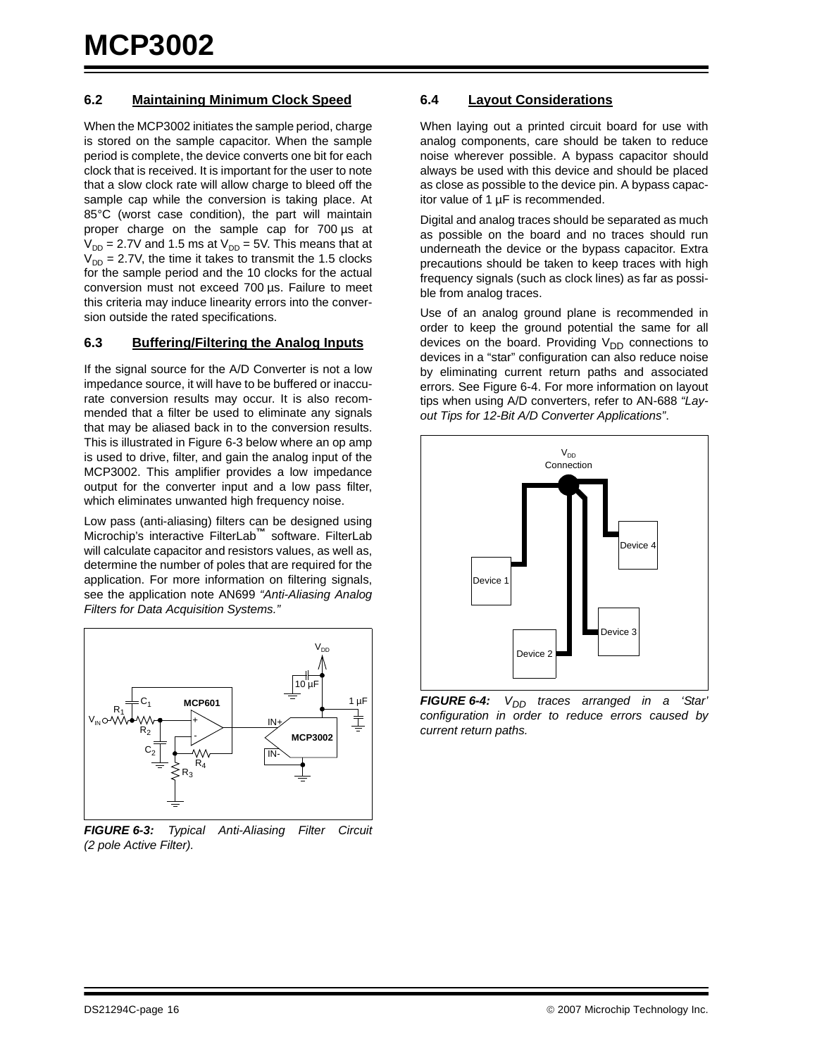#### <span id="page-15-0"></span>**6.2 Maintaining Minimum Clock Speed**

When the MCP3002 initiates the sample period, charge is stored on the sample capacitor. When the sample period is complete, the device converts one bit for each clock that is received. It is important for the user to note that a slow clock rate will allow charge to bleed off the sample cap while the conversion is taking place. At 85°C (worst case condition), the part will maintain proper charge on the sample cap for 700 µs at  $V_{DD}$  = 2.7V and 1.5 ms at  $V_{DD}$  = 5V. This means that at  $V_{DD}$  = 2.7V, the time it takes to transmit the 1.5 clocks for the sample period and the 10 clocks for the actual conversion must not exceed 700 µs. Failure to meet this criteria may induce linearity errors into the conversion outside the rated specifications.

#### **6.3 Buffering/Filtering the Analog Inputs**

If the signal source for the A/D Converter is not a low impedance source, it will have to be buffered or inaccurate conversion results may occur. It is also recommended that a filter be used to eliminate any signals that may be aliased back in to the conversion results. This is illustrated in [Figure 6-3](#page-15-1) below where an op amp is used to drive, filter, and gain the analog input of the MCP3002. This amplifier provides a low impedance output for the converter input and a low pass filter, which eliminates unwanted high frequency noise.

Low pass (anti-aliasing) filters can be designed using Microchip's interactive FilterLab**™** software. FilterLab will calculate capacitor and resistors values, as well as, determine the number of poles that are required for the application. For more information on filtering signals, see the application note AN699 *"Anti-Aliasing Analog Filters for Data Acquisition Systems."*



<span id="page-15-1"></span>*FIGURE 6-3: Typical Anti-Aliasing Filter Circuit (2 pole Active Filter).*

#### **6.4 Layout Considerations**

When laying out a printed circuit board for use with analog components, care should be taken to reduce noise wherever possible. A bypass capacitor should always be used with this device and should be placed as close as possible to the device pin. A bypass capacitor value of 1 µF is recommended.

Digital and analog traces should be separated as much as possible on the board and no traces should run underneath the device or the bypass capacitor. Extra precautions should be taken to keep traces with high frequency signals (such as clock lines) as far as possible from analog traces.

Use of an analog ground plane is recommended in order to keep the ground potential the same for all devices on the board. Providing  $V_{DD}$  connections to devices in a "star" configuration can also reduce noise by eliminating current return paths and associated errors. See [Figure 6-4](#page-15-2). For more information on layout tips when using A/D converters, refer to AN-688 *"Layout Tips for 12-Bit A/D Converter Applications"*.



<span id="page-15-2"></span>**FIGURE 6-4:**  $V_{DD}$  traces arranged in a 'Star' *configuration in order to reduce errors caused by*  $\frac{1}{\frac{1}{2}}$   $\frac{1}{\frac{1}{2}}$  configuration in order **MCP3002**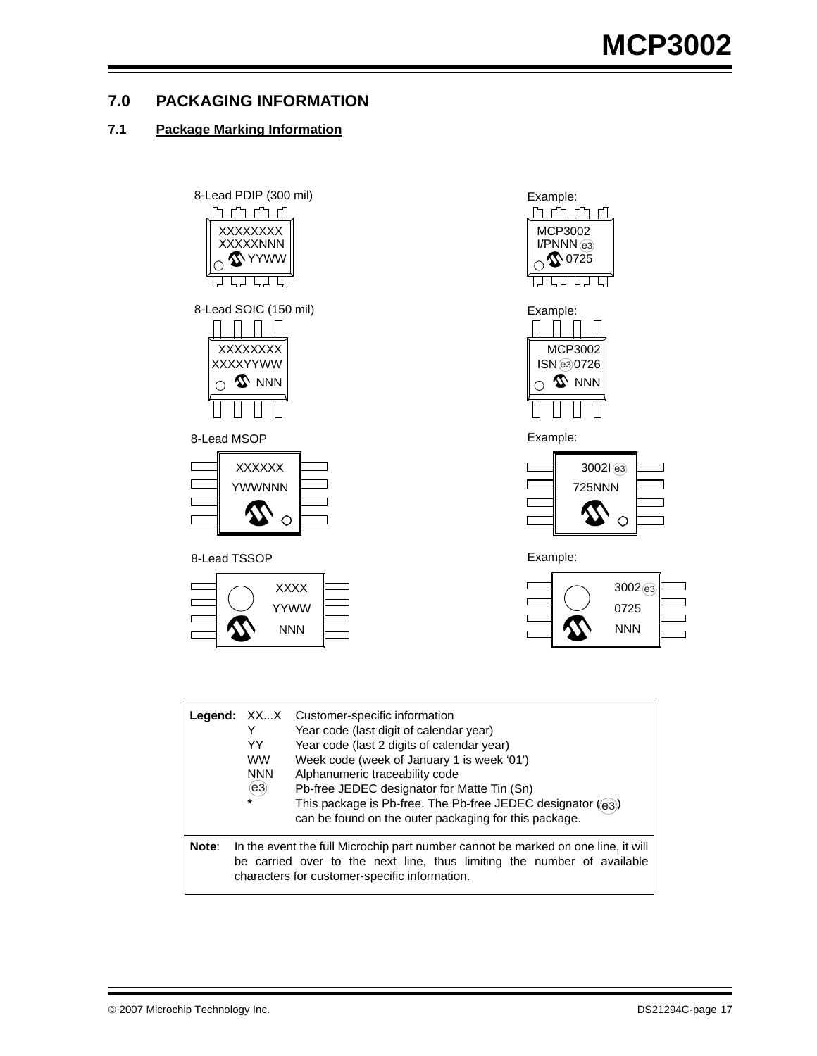#### **7.0 PACKAGING INFORMATION**

#### **7.1 Package Marking Information**











|       | Y<br>YY<br><b>WW</b><br><b>NNN</b><br>(e3)<br>$\ast$ | <b>Legend:</b> XXX Customer-specific information<br>Year code (last digit of calendar year)<br>Year code (last 2 digits of calendar year)<br>Week code (week of January 1 is week '01')<br>Alphanumeric traceability code<br>Pb-free JEDEC designator for Matte Tin (Sn)<br>This package is Pb-free. The Pb-free JEDEC designator (e3)<br>can be found on the outer packaging for this package. |
|-------|------------------------------------------------------|-------------------------------------------------------------------------------------------------------------------------------------------------------------------------------------------------------------------------------------------------------------------------------------------------------------------------------------------------------------------------------------------------|
| Note: |                                                      | In the event the full Microchip part number cannot be marked on one line, it will<br>be carried over to the next line, thus limiting the number of available<br>characters for customer-specific information.                                                                                                                                                                                   |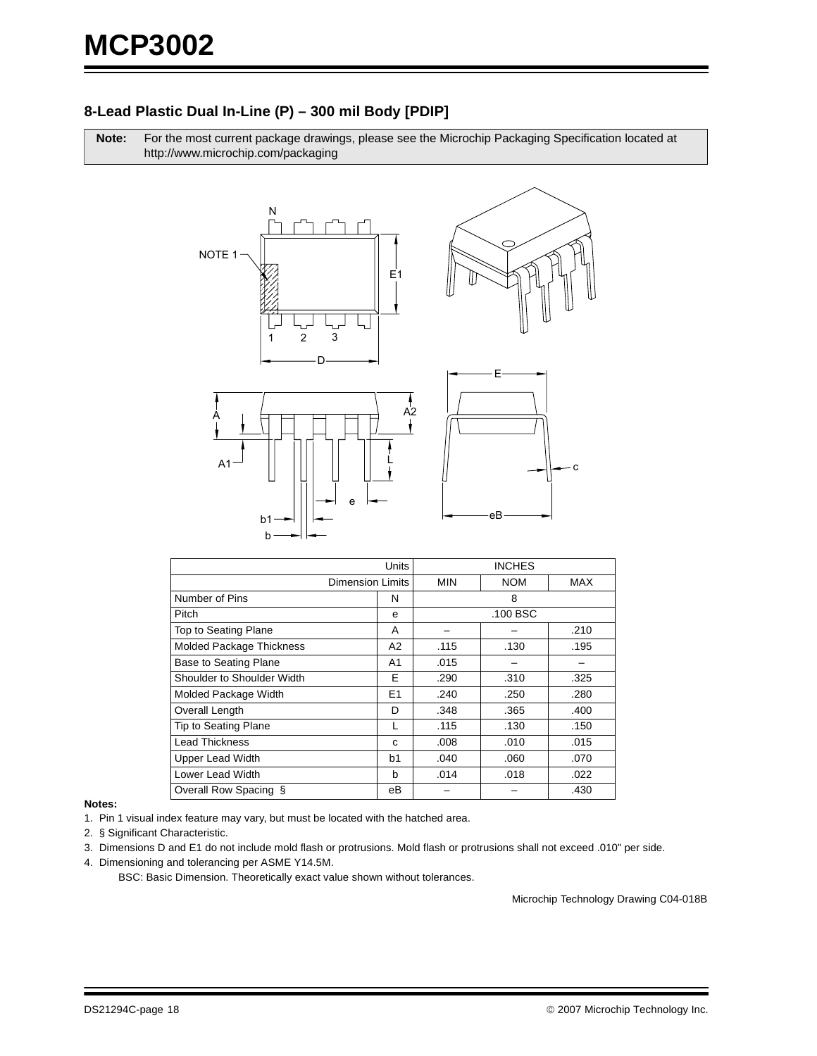#### **8-Lead Plastic Dual In-Line (P) – 300 mil Body [PDIP]**

**Note:** For the most current package drawings, please see the Microchip Packaging Specification located at http://www.microchip.com/packaging



|                                 | Units          |            | <b>INCHES</b> |            |
|---------------------------------|----------------|------------|---------------|------------|
| <b>Dimension Limits</b>         |                | <b>MIN</b> | <b>NOM</b>    | <b>MAX</b> |
| Number of Pins                  | N              |            | 8             |            |
| Pitch                           | e              |            | .100 BSC      |            |
| Top to Seating Plane            | A              |            |               | .210       |
| <b>Molded Package Thickness</b> | A2             | .115       | .130          | .195       |
| Base to Seating Plane           | A1             | .015       |               |            |
| Shoulder to Shoulder Width      | E              | .290       | .310          | .325       |
| Molded Package Width            | E <sub>1</sub> | .240       | .250          | .280       |
| Overall Length                  | D              | .348       | .365          | .400       |
| Tip to Seating Plane            |                | .115       | .130          | .150       |
| <b>Lead Thickness</b>           | C              | .008       | .010          | .015       |
| <b>Upper Lead Width</b>         | b1             | .040       | .060          | .070       |
| Lower Lead Width                | b              | .014       | .018          | .022       |
| Overall Row Spacing §           | eВ             |            |               | .430       |

#### **Notes:**

1. Pin 1 visual index feature may vary, but must be located with the hatched area.

- 2. § Significant Characteristic.
- 3. Dimensions D and E1 do not include mold flash or protrusions. Mold flash or protrusions shall not exceed .010" per side.
- 4. Dimensioning and tolerancing per ASME Y14.5M.

BSC: Basic Dimension. Theoretically exact value shown without tolerances.

Microchip Technology Drawing C04-018B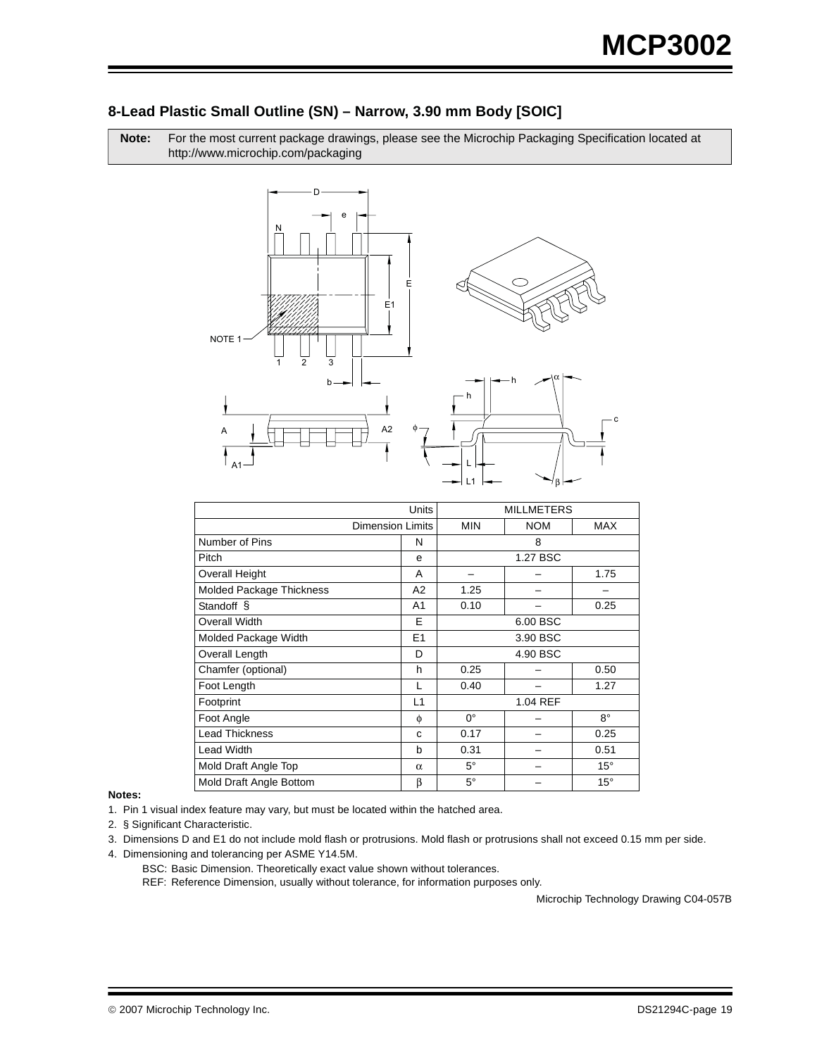#### **8-Lead Plastic Small Outline (SN) – Narrow, 3.90 mm Body [SOIC]**

**Note:** For the most current package drawings, please see the Microchip Packaging Specification located at http://www.microchip.com/packaging



|                                 | <b>Units</b>            |             | <b>MILLMETERS</b> |              |
|---------------------------------|-------------------------|-------------|-------------------|--------------|
|                                 | <b>Dimension Limits</b> | <b>MIN</b>  | <b>NOM</b>        | <b>MAX</b>   |
| Number of Pins                  | N                       |             | 8                 |              |
| Pitch                           | e                       |             | 1.27 BSC          |              |
| <b>Overall Height</b>           | A                       | -           |                   | 1.75         |
| <b>Molded Package Thickness</b> | A <sub>2</sub>          | 1.25        |                   |              |
| Standoff §                      | A <sub>1</sub>          | 0.10        |                   | 0.25         |
| Overall Width                   | F                       | 6.00 BSC    |                   |              |
| Molded Package Width            | E1                      | 3.90 BSC    |                   |              |
| Overall Length                  | D                       | 4.90 BSC    |                   |              |
| Chamfer (optional)              | h                       | 0.25        |                   | 0.50         |
| Foot Length                     | L                       | 0.40        |                   | 1.27         |
| Footprint                       | L1                      | 1.04 REF    |                   |              |
| Foot Angle                      | φ                       | $0^{\circ}$ |                   | $8^{\circ}$  |
| <b>Lead Thickness</b>           | C                       | 0.17        |                   | 0.25         |
| Lead Width                      | b                       | 0.31        |                   | 0.51         |
| Mold Draft Angle Top            | $\alpha$                | $5^{\circ}$ |                   | $15^{\circ}$ |
| Mold Draft Angle Bottom         | β                       | $5^{\circ}$ |                   | $15^{\circ}$ |

**Notes:**

1. Pin 1 visual index feature may vary, but must be located within the hatched area.

2. § Significant Characteristic.

3. Dimensions D and E1 do not include mold flash or protrusions. Mold flash or protrusions shall not exceed 0.15 mm per side.

- 4. Dimensioning and tolerancing per ASME Y14.5M.
	- BSC: Basic Dimension. Theoretically exact value shown without tolerances.

REF: Reference Dimension, usually without tolerance, for information purposes only.

Microchip Technology Drawing C04-057B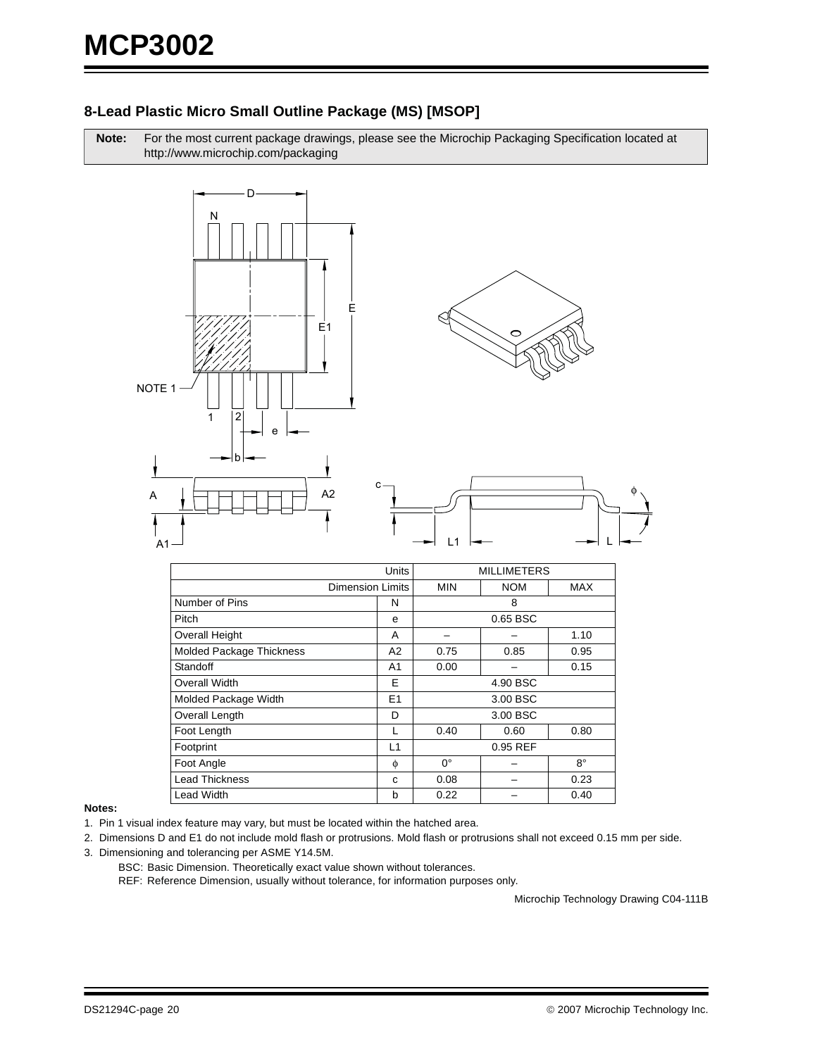#### **8-Lead Plastic Micro Small Outline Package (MS) [MSOP]**

**Note:** For the most current package drawings, please see the Microchip Packaging Specification located at http://www.microchip.com/packaging



| Units                           |    | <b>MILLIMETERS</b> |            |             |
|---------------------------------|----|--------------------|------------|-------------|
| <b>Dimension Limits</b>         |    | <b>MIN</b>         | <b>NOM</b> | <b>MAX</b>  |
| Number of Pins                  | N  |                    | 8          |             |
| Pitch                           | e  | 0.65 BSC           |            |             |
| Overall Height                  | A  |                    |            | 1.10        |
| <b>Molded Package Thickness</b> | A2 | 0.75               | 0.85       | 0.95        |
| Standoff                        | A1 | 0.00               |            | 0.15        |
| Overall Width                   | E  | 4.90 BSC           |            |             |
| Molded Package Width            | E1 | 3.00 BSC           |            |             |
| Overall Length                  | D  | 3.00 BSC           |            |             |
| Foot Length                     |    | 0.40               | 0.60       | 0.80        |
| Footprint                       | L1 | 0.95 REF           |            |             |
| Foot Angle                      | Φ  | $0^{\circ}$        |            | $8^{\circ}$ |
| <b>Lead Thickness</b>           | C  | 0.08               |            | 0.23        |
| <b>Lead Width</b>               | b  | 0.22               |            | 0.40        |

#### **Notes:**

1. Pin 1 visual index feature may vary, but must be located within the hatched area.

2. Dimensions D and E1 do not include mold flash or protrusions. Mold flash or protrusions shall not exceed 0.15 mm per side.

- 3. Dimensioning and tolerancing per ASME Y14.5M.
	- BSC: Basic Dimension. Theoretically exact value shown without tolerances.

REF: Reference Dimension, usually without tolerance, for information purposes only.

Microchip Technology Drawing C04-111B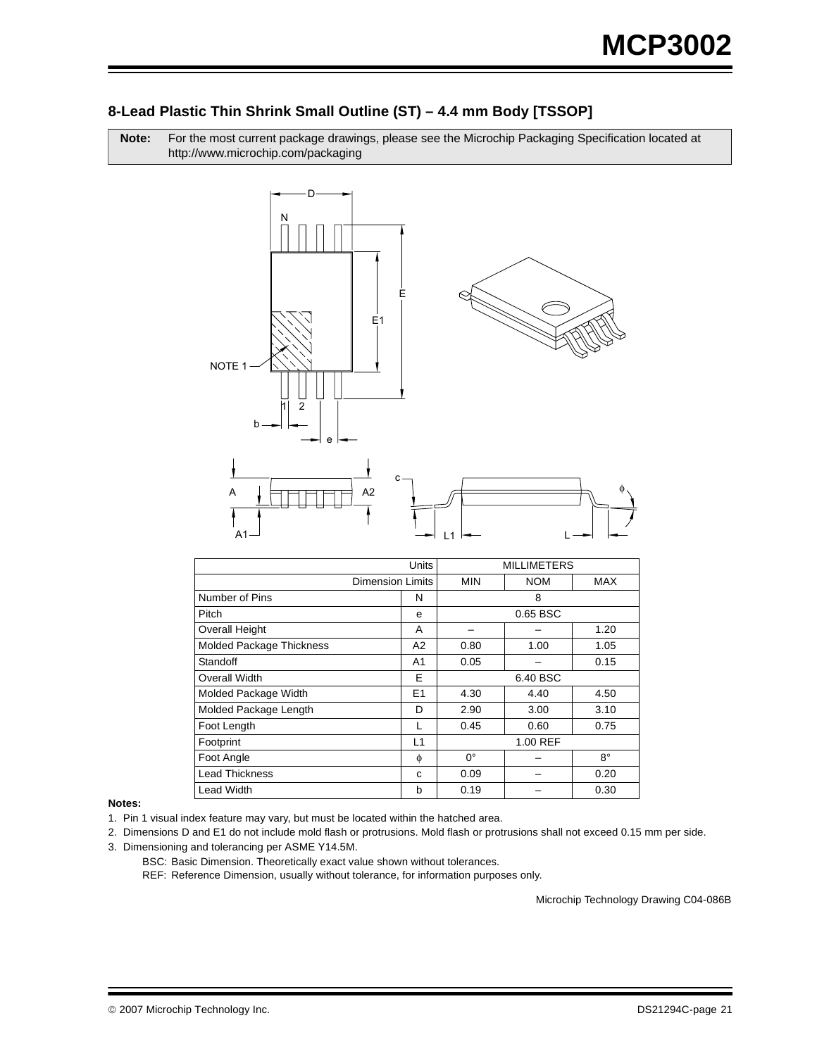#### **8-Lead Plastic Thin Shrink Small Outline (ST) – 4.4 mm Body [TSSOP]**

**Note:** For the most current package drawings, please see the Microchip Packaging Specification located at http://www.microchip.com/packaging



| <b>Units</b>                    |                  | <b>MILLIMETERS</b> |            |             |
|---------------------------------|------------------|--------------------|------------|-------------|
|                                 | Dimension Limits | <b>MIN</b>         | <b>NOM</b> | <b>MAX</b>  |
| Number of Pins                  | N                |                    | 8          |             |
| Pitch                           | e                | 0.65 BSC           |            |             |
| <b>Overall Height</b>           | A                |                    |            | 1.20        |
| <b>Molded Package Thickness</b> | A2               | 0.80               | 1.00       | 1.05        |
| Standoff                        | A <sub>1</sub>   | 0.05               |            | 0.15        |
| Overall Width                   | E                |                    | 6.40 BSC   |             |
| Molded Package Width            | E1               | 4.30               | 4.40       | 4.50        |
| Molded Package Length           | D                | 2.90               | 3.00       | 3.10        |
| Foot Length                     |                  | 0.45               | 0.60       | 0.75        |
| Footprint                       | L1               |                    | 1.00 REF   |             |
| Foot Angle                      | Φ                | $0^{\circ}$        |            | $8^{\circ}$ |
| <b>Lead Thickness</b>           | C                | 0.09               |            | 0.20        |
| <b>Lead Width</b>               | b                | 0.19               |            | 0.30        |

**Notes:**

1. Pin 1 visual index feature may vary, but must be located within the hatched area.

2. Dimensions D and E1 do not include mold flash or protrusions. Mold flash or protrusions shall not exceed 0.15 mm per side. 3. Dimensioning and tolerancing per ASME Y14.5M.

BSC: Basic Dimension. Theoretically exact value shown without tolerances. REF: Reference Dimension, usually without tolerance, for information purposes only.

Microchip Technology Drawing C04-086B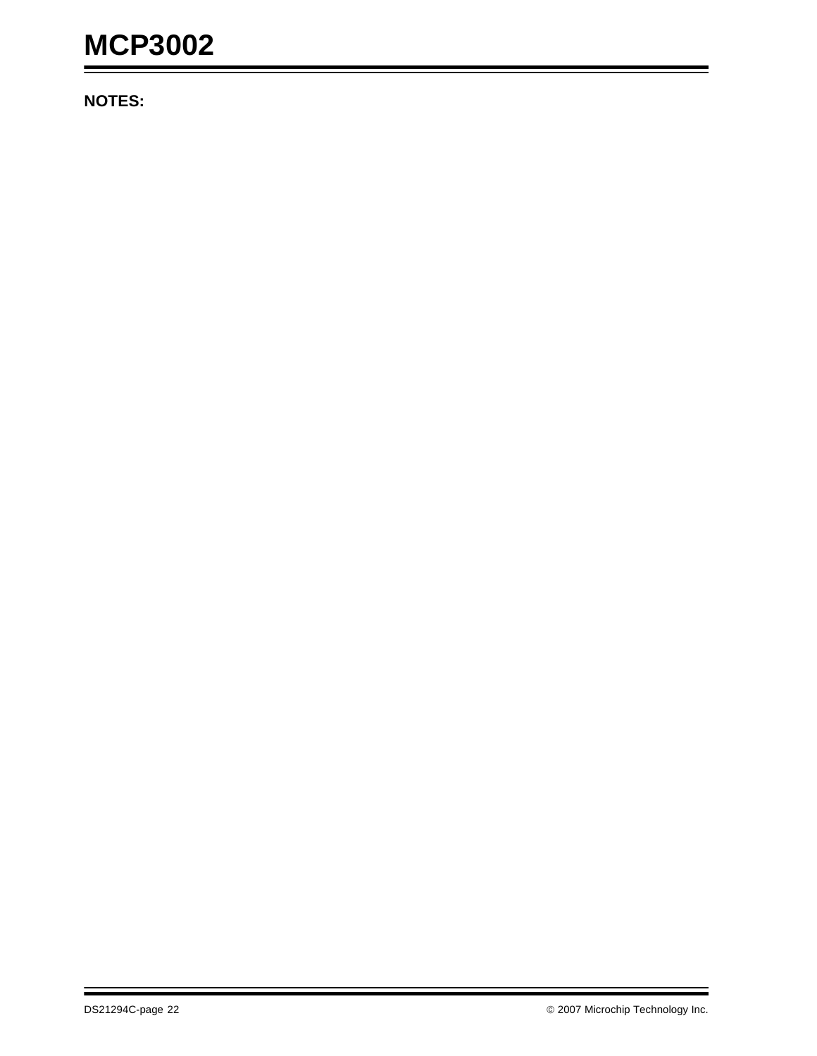**NOTES:**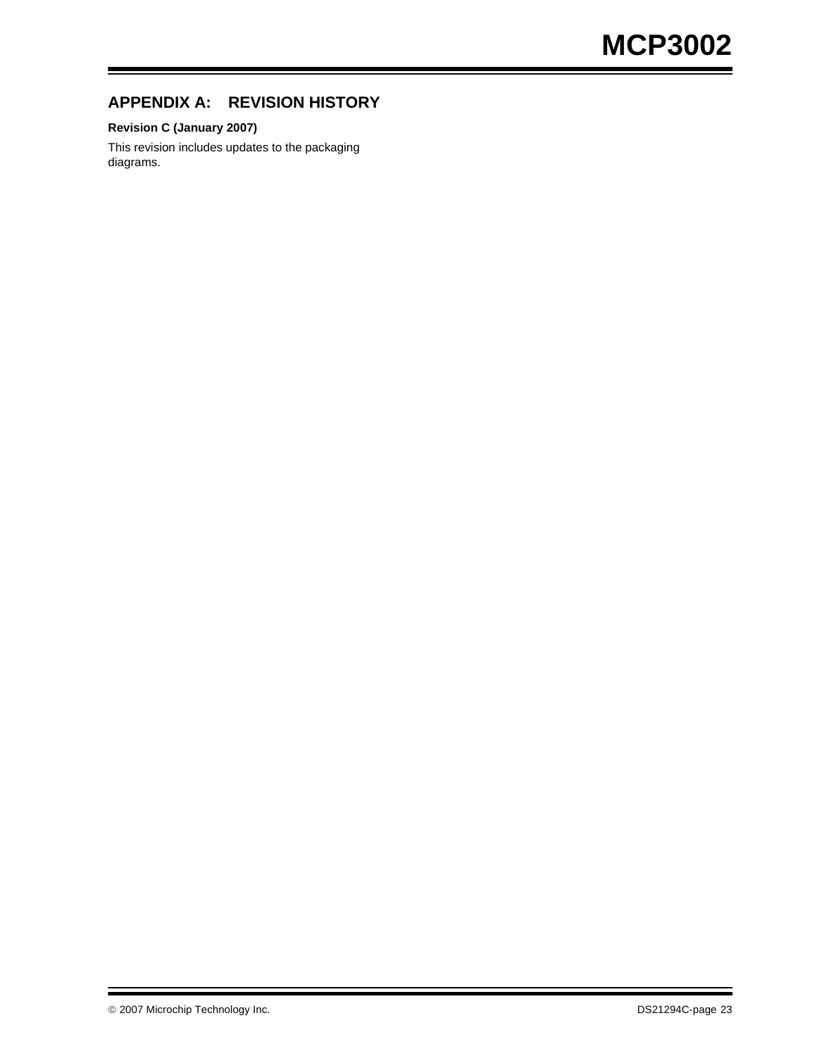#### **APPENDIX A: REVISION HISTORY**

#### **Revision C (January 2007)**

This revision includes updates to the packaging diagrams.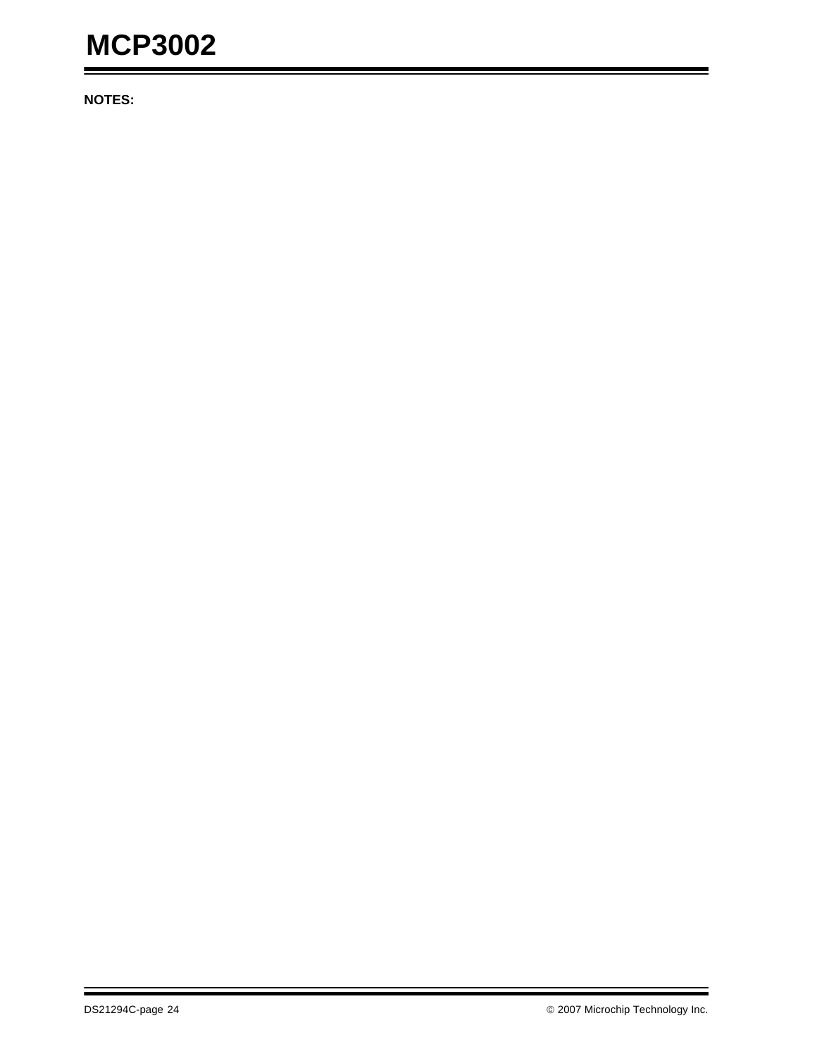# **MCP3002**

**NOTES:**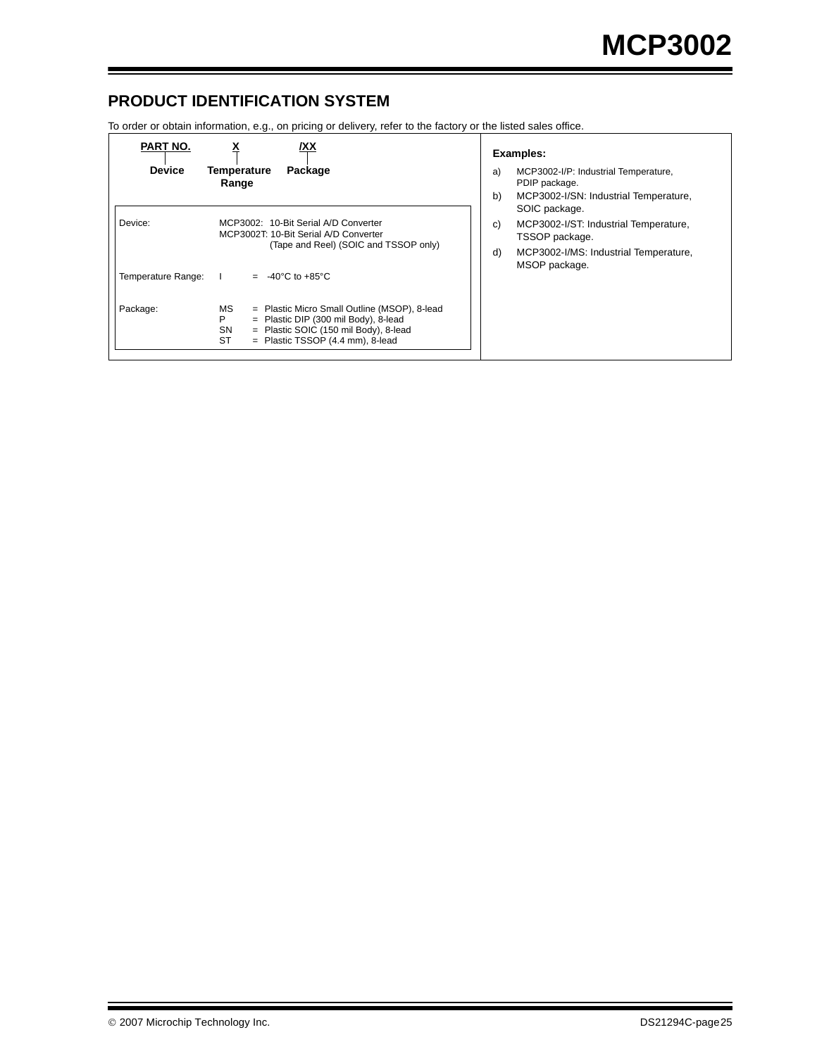### **PRODUCT IDENTIFICATION SYSTEM**

To order or obtain information, e.g., on pricing or delivery, refer to the factory or the listed sales office.

| PART NO.           | /XX<br>ᄉ                                                                                                                                                                                              | Examples:                                                                                                                     |
|--------------------|-------------------------------------------------------------------------------------------------------------------------------------------------------------------------------------------------------|-------------------------------------------------------------------------------------------------------------------------------|
| <b>Device</b>      | Temperature<br>Package<br>Range                                                                                                                                                                       | MCP3002-I/P: Industrial Temperature,<br>a)<br>PDIP package.<br>b)<br>MCP3002-I/SN: Industrial Temperature,<br>SOIC package.   |
| Device:            | MCP3002: 10-Bit Serial A/D Converter<br>MCP3002T: 10-Bit Serial A/D Converter<br>(Tape and Reel) (SOIC and TSSOP only)                                                                                | MCP3002-I/ST: Industrial Temperature,<br>C)<br>TSSOP package.<br>d)<br>MCP3002-I/MS: Industrial Temperature,<br>MSOP package. |
| Temperature Range: | $= -40^{\circ}$ C to $+85^{\circ}$ C                                                                                                                                                                  |                                                                                                                               |
| Package:           | МS<br>= Plastic Micro Small Outline (MSOP), 8-lead<br>$=$ Plastic DIP (300 mil Body), 8-lead<br>P<br>$=$ Plastic SOIC (150 mil Body), 8-lead<br><b>SN</b><br>ST<br>$=$ Plastic TSSOP (4.4 mm), 8-lead |                                                                                                                               |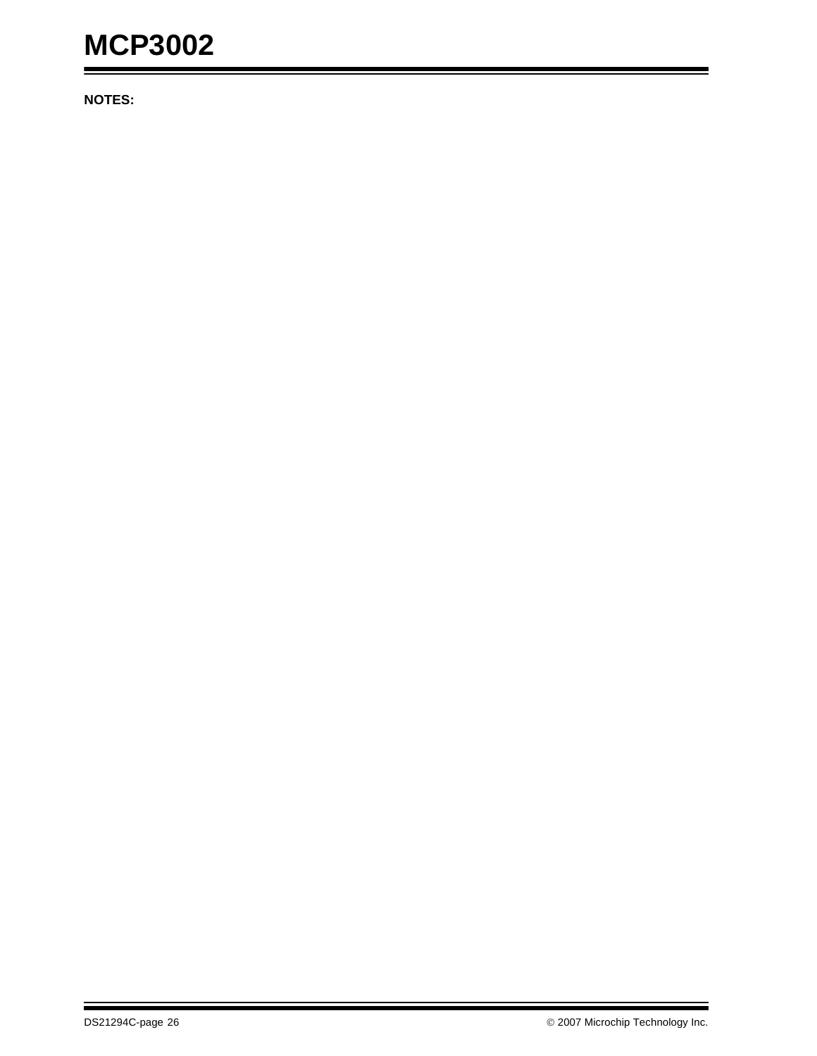**NOTES:**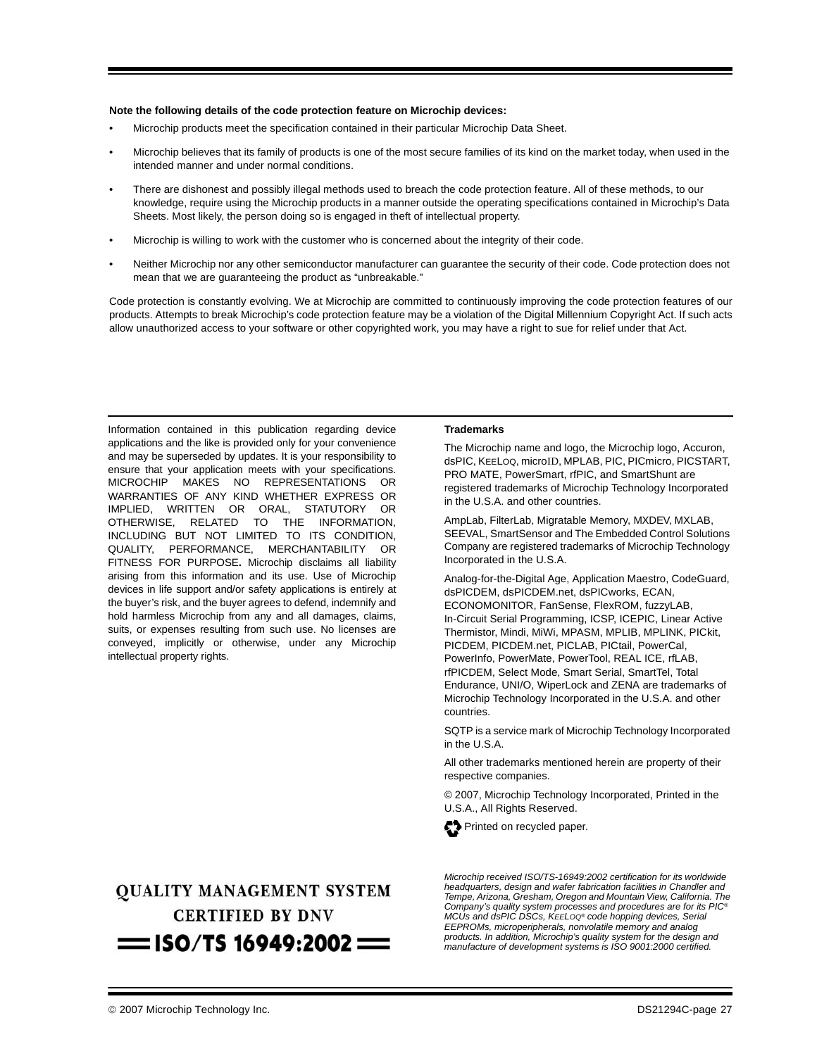#### **Note the following details of the code protection feature on Microchip devices:**

- Microchip products meet the specification contained in their particular Microchip Data Sheet.
- Microchip believes that its family of products is one of the most secure families of its kind on the market today, when used in the intended manner and under normal conditions.
- There are dishonest and possibly illegal methods used to breach the code protection feature. All of these methods, to our knowledge, require using the Microchip products in a manner outside the operating specifications contained in Microchip's Data Sheets. Most likely, the person doing so is engaged in theft of intellectual property.
- Microchip is willing to work with the customer who is concerned about the integrity of their code.
- Neither Microchip nor any other semiconductor manufacturer can guarantee the security of their code. Code protection does not mean that we are guaranteeing the product as "unbreakable."

Code protection is constantly evolving. We at Microchip are committed to continuously improving the code protection features of our products. Attempts to break Microchip's code protection feature may be a violation of the Digital Millennium Copyright Act. If such acts allow unauthorized access to your software or other copyrighted work, you may have a right to sue for relief under that Act.

Information contained in this publication regarding device applications and the like is provided only for your convenience and may be superseded by updates. It is your responsibility to ensure that your application meets with your specifications. MICROCHIP MAKES NO REPRESENTATIONS OR WARRANTIES OF ANY KIND WHETHER EXPRESS OR IMPLIED, WRITTEN OR ORAL, STATUTORY OR OTHERWISE, RELATED TO THE INFORMATION, INCLUDING BUT NOT LIMITED TO ITS CONDITION, QUALITY, PERFORMANCE, MERCHANTABILITY OR FITNESS FOR PURPOSE**.** Microchip disclaims all liability arising from this information and its use. Use of Microchip devices in life support and/or safety applications is entirely at the buyer's risk, and the buyer agrees to defend, indemnify and hold harmless Microchip from any and all damages, claims, suits, or expenses resulting from such use. No licenses are conveyed, implicitly or otherwise, under any Microchip intellectual property rights.

# **OUALITY MANAGEMENT SYSTEM CERTIFIED BY DNV**  $=$  ISO/TS 16949:2002  $=$

#### **Trademarks**

The Microchip name and logo, the Microchip logo, Accuron, dsPIC, KEELOQ, microID, MPLAB, PIC, PICmicro, PICSTART, PRO MATE, PowerSmart, rfPIC, and SmartShunt are registered trademarks of Microchip Technology Incorporated in the U.S.A. and other countries.

AmpLab, FilterLab, Migratable Memory, MXDEV, MXLAB, SEEVAL, SmartSensor and The Embedded Control Solutions Company are registered trademarks of Microchip Technology Incorporated in the U.S.A.

Analog-for-the-Digital Age, Application Maestro, CodeGuard, dsPICDEM, dsPICDEM.net, dsPICworks, ECAN, ECONOMONITOR, FanSense, FlexROM, fuzzyLAB, In-Circuit Serial Programming, ICSP, ICEPIC, Linear Active Thermistor, Mindi, MiWi, MPASM, MPLIB, MPLINK, PICkit, PICDEM, PICDEM.net, PICLAB, PICtail, PowerCal, PowerInfo, PowerMate, PowerTool, REAL ICE, rfLAB, rfPICDEM, Select Mode, Smart Serial, SmartTel, Total Endurance, UNI/O, WiperLock and ZENA are trademarks of Microchip Technology Incorporated in the U.S.A. and other countries.

SQTP is a service mark of Microchip Technology Incorporated in the U.S.A.

All other trademarks mentioned herein are property of their respective companies.

© 2007, Microchip Technology Incorporated, Printed in the U.S.A., All Rights Reserved.



Printed on recycled paper.

*Microchip received ISO/TS-16949:2002 certification for its worldwide headquarters, design and wafer fabrication facilities in Chandler and Tempe, Arizona, Gresham, Oregon and Mountain View, California. The Company's quality system processes and procedures are for its PIC® MCUs and dsPIC DSCs, KEELOQ® code hopping devices, Serial EEPROMs, microperipherals, nonvolatile memory and analog products. In addition, Microchip's quality system for the design and manufacture of development systems is ISO 9001:2000 certified.*